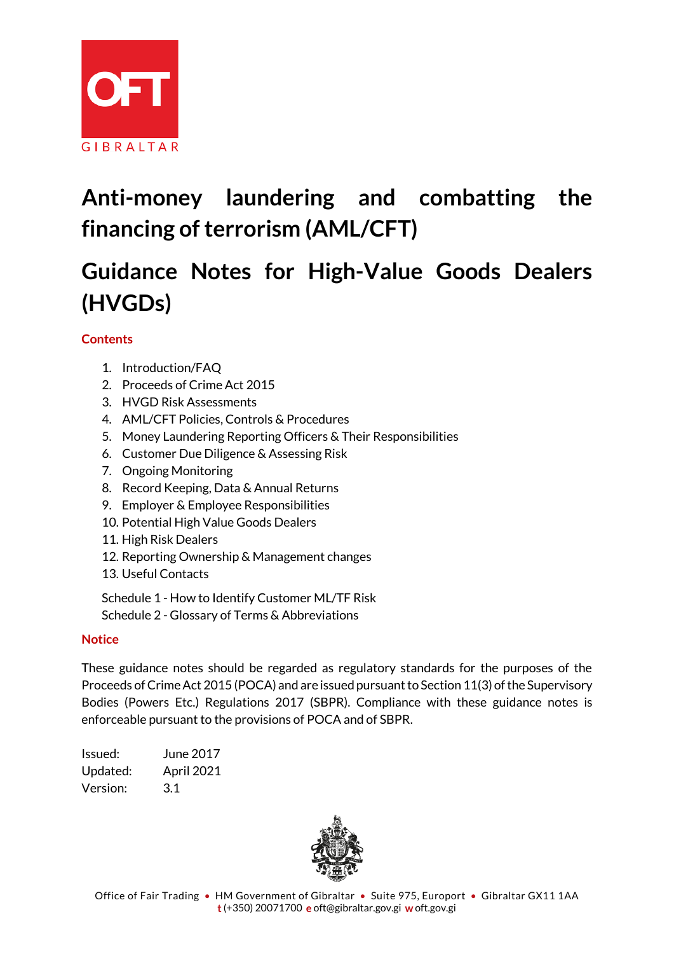

# **Anti-money laundering and combatting the financing of terrorism (AML/CFT)**

# **Guidance Notes for High-Value Goods Dealers (HVGDs)**

# **Contents**

- 1. Introduction/FAQ
- 2. Proceeds of Crime Act 2015
- 3. HVGD Risk Assessments
- 4. AML/CFT Policies, Controls & Procedures
- 5. Money Laundering Reporting Officers & Their Responsibilities
- 6. Customer Due Diligence & Assessing Risk
- 7. Ongoing Monitoring
- 8. Record Keeping, Data & Annual Returns
- 9. Employer & Employee Responsibilities
- 10. Potential High Value Goods Dealers
- 11. High Risk Dealers
- 12. Reporting Ownership & Management changes
- 13. Useful Contacts

Schedule 1 - How to Identify Customer ML/TF Risk Schedule 2 - Glossary of Terms & Abbreviations

# **Notice**

These guidance notes should be regarded as regulatory standards for the purposes of the Proceeds of Crime Act 2015 (POCA) and are issued pursuant to Section 11(3) of the Supervisory Bodies (Powers Etc.) Regulations 2017 (SBPR). Compliance with these guidance notes is enforceable pursuant to the provisions of POCA and of SBPR.

Issued: June 2017 Updated: April 2021 Version: 3.1

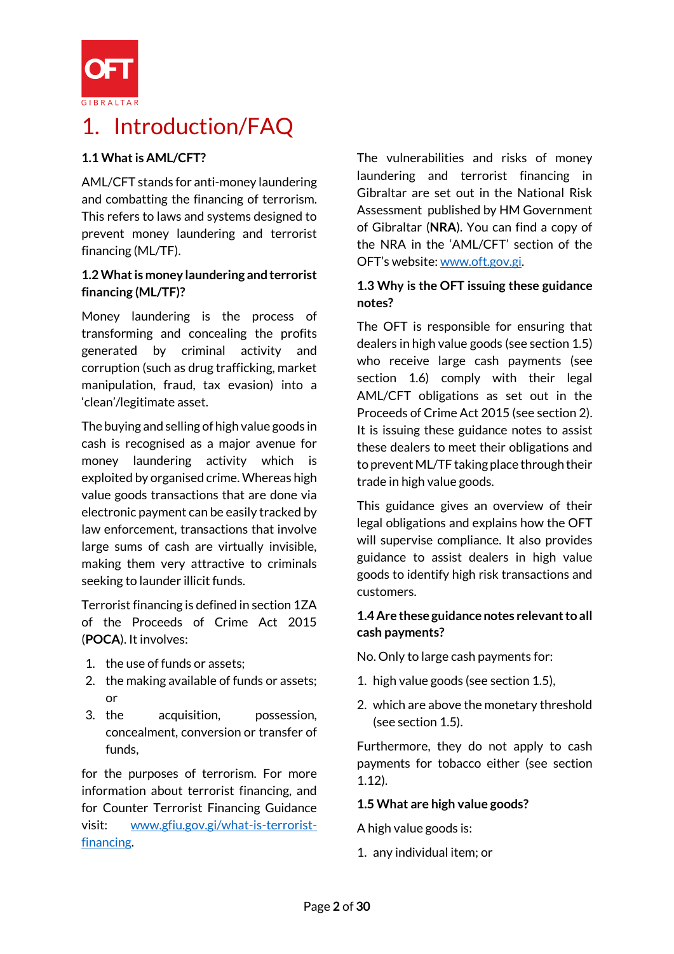

# 1. Introduction/FAQ

# **1.1 What is AML/CFT?**

AML/CFT stands for anti-money laundering and combatting the financing of terrorism. This refers to laws and systems designed to prevent money laundering and terrorist financing (ML/TF).

# **1.2 What is money laundering and terrorist financing (ML/TF)?**

Money laundering is the process of transforming and concealing the profits generated by criminal activity and corruption (such as drug trafficking, market manipulation, fraud, tax evasion) into a 'clean'/legitimate asset.

The buying and selling of high value goods in cash is recognised as a major avenue for money laundering activity which is exploited by organised crime. Whereas high value goods transactions that are done via electronic payment can be easily tracked by law enforcement, transactions that involve large sums of cash are virtually invisible, making them very attractive to criminals seeking to launder illicit funds.

Terrorist financing is defined in section 1ZA of the Proceeds of Crime Act 2015 (**POCA**). It involves:

- 1. the use of funds or assets;
- 2. the making available of funds or assets; or
- 3. the acquisition, possession, concealment, conversion or transfer of funds,

for the purposes of terrorism. For more information about terrorist financing, and for Counter Terrorist Financing Guidance visit: [www.gfiu.gov.gi/what-is-terrorist](http://www.gfiu.gov.gi/what-is-terrorist-financing)[financing.](http://www.gfiu.gov.gi/what-is-terrorist-financing)

The vulnerabilities and risks of money laundering and terrorist financing in Gibraltar are set out in the National Risk Assessment published by HM Government of Gibraltar (**NRA**). You can find a copy of the NRA in the 'AML/CFT' section of the OFT's website: [www.oft.gov.gi.](http://www.oft.gov.gi/)

# **1.3 Why is the OFT issuing these guidance notes?**

The OFT is responsible for ensuring that dealers in high value goods (see section 1.5) who receive large cash payments (see section 1.6) comply with their legal AML/CFT obligations as set out in the Proceeds of Crime Act 2015 (see section 2). It is issuing these guidance notes to assist these dealers to meet their obligations and to prevent ML/TF taking place through their trade in high value goods.

This guidance gives an overview of their legal obligations and explains how the OFT will supervise compliance. It also provides guidance to assist dealers in high value goods to identify high risk transactions and customers.

# **1.4 Are these guidance notes relevant to all cash payments?**

No. Only to large cash payments for:

- 1. high value goods (see section 1.5),
- 2. which are above the monetary threshold (see section 1.5).

Furthermore, they do not apply to cash payments for tobacco either (see section 1.12).

# **1.5 What are high value goods?**

A high value goods is:

1. any individual item; or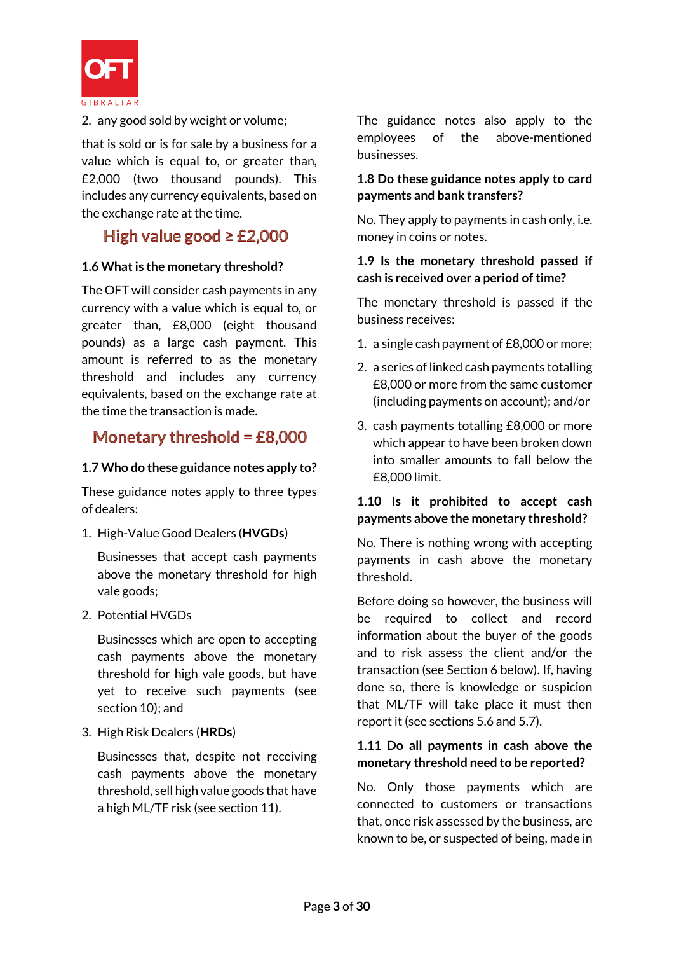

2. any good sold by weight or volume;

that is sold or is for sale by a business for a value which is equal to, or greater than, £2,000 (two thousand pounds). This includes any currency equivalents, based on the exchange rate at the time.

# High value good  $\geq$  £2,000

#### **1.6 What is the monetary threshold?**

The OFT will consider cash payments in any currency with a value which is equal to, or greater than, £8,000 (eight thousand pounds) as a large cash payment. This amount is referred to as the monetary threshold and includes any currency equivalents, based on the exchange rate at the time the transaction is made.

# Monetary threshold =  $£8,000$

#### **1.7 Who do these guidance notes apply to?**

These guidance notes apply to three types of dealers:

# 1. High-Value Good Dealers (**HVGDs**)

Businesses that accept cash payments above the monetary threshold for high vale goods;

#### 2. Potential HVGDs

Businesses which are open to accepting cash payments above the monetary threshold for high vale goods, but have yet to receive such payments (see section 10); and

3. High Risk Dealers (**HRDs**)

Businesses that, despite not receiving cash payments above the monetary threshold, sell high value goods that have a high ML/TF risk (see section 11).

The guidance notes also apply to the employees of the above-mentioned businesses.

# **1.8 Do these guidance notes apply to card payments and bank transfers?**

No. They apply to payments in cash only, i.e. money in coins or notes.

#### **1.9 Is the monetary threshold passed if cash is received over a period of time?**

The monetary threshold is passed if the business receives:

- 1. a single cash payment of £8,000 or more;
- 2. a series of linked cash payments totalling £8,000 or more from the same customer (including payments on account); and/or
- 3. cash payments totalling £8,000 or more which appear to have been broken down into smaller amounts to fall below the £8,000 limit.

# **1.10 Is it prohibited to accept cash payments above the monetary threshold?**

No. There is nothing wrong with accepting payments in cash above the monetary threshold.

Before doing so however, the business will be required to collect and record information about the buyer of the goods and to risk assess the client and/or the transaction (see Section 6 below). If, having done so, there is knowledge or suspicion that ML/TF will take place it must then report it (see sections 5.6 and 5.7).

# **1.11 Do all payments in cash above the monetary threshold need to be reported?**

No. Only those payments which are connected to customers or transactions that, once risk assessed by the business, are known to be, or suspected of being, made in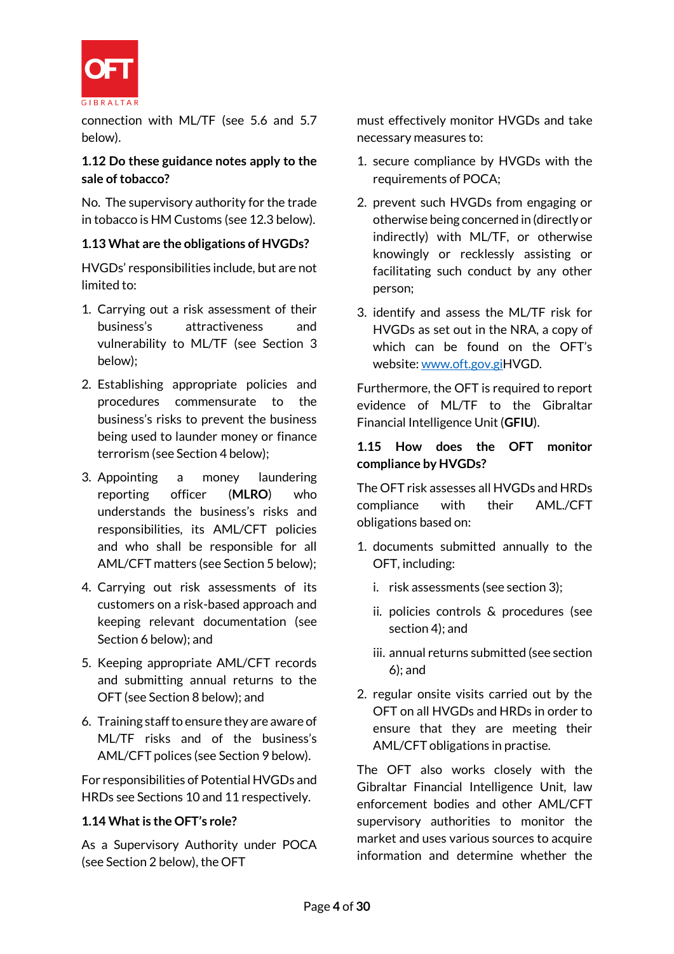

connection with ML/TF (see 5.6 and 5.7 below).

# **1.12 Do these guidance notes apply to the sale of tobacco?**

No. The supervisory authority for the trade in tobacco is HM Customs (see 12.3 below).

# **1.13 What are the obligations of HVGDs?**

HVGDs' responsibilities include, but are not limited to:

- 1. Carrying out a risk assessment of their business's attractiveness and vulnerability to ML/TF (see Section 3 below);
- 2. Establishing appropriate policies and procedures commensurate to the business's risks to prevent the business being used to launder money or finance terrorism (see Section 4 below);
- 3. Appointing a money laundering reporting officer (**MLRO**) who understands the business's risks and responsibilities, its AML/CFT policies and who shall be responsible for all AML/CFT matters (see Section 5 below);
- 4. Carrying out risk assessments of its customers on a risk-based approach and keeping relevant documentation (see Section 6 below); and
- 5. Keeping appropriate AML/CFT records and submitting annual returns to the OFT (see Section 8 below); and
- 6. Training staff to ensure they are aware of ML/TF risks and of the business's AML/CFT polices (see Section 9 below).

For responsibilities of Potential HVGDs and HRDs see Sections 10 and 11 respectively.

# **1.14 What is the OFT's role?**

As a Supervisory Authority under POCA (see Section 2 below), the OFT

must effectively monitor HVGDs and take necessary measures to:

- 1. secure compliance by HVGDs with the requirements of POCA;
- 2. prevent such HVGDs from engaging or otherwise being concerned in (directly or indirectly) with ML/TF, or otherwise knowingly or recklessly assisting or facilitating such conduct by any other person;
- 3. identify and assess the ML/TF risk for HVGDs as set out in the NRA, a copy of which can be found on the OFT's website[: www.oft.gov.giH](http://www.oft.gov.gi/)VGD.

Furthermore, the OFT is required to report evidence of ML/TF to the Gibraltar Financial Intelligence Unit (**GFIU**).

# **1.15 How does the OFT monitor compliance by HVGDs?**

The OFT risk assesses all HVGDs and HRDs compliance with their AML./CFT obligations based on:

- 1. documents submitted annually to the OFT, including:
	- i. risk assessments (see section 3);
	- ii. policies controls & procedures (see section 4); and
	- iii. annual returns submitted (see section 6); and
- 2. regular onsite visits carried out by the OFT on all HVGDs and HRDs in order to ensure that they are meeting their AML/CFT obligations in practise.

The OFT also works closely with the Gibraltar Financial Intelligence Unit, law enforcement bodies and other AML/CFT supervisory authorities to monitor the market and uses various sources to acquire information and determine whether the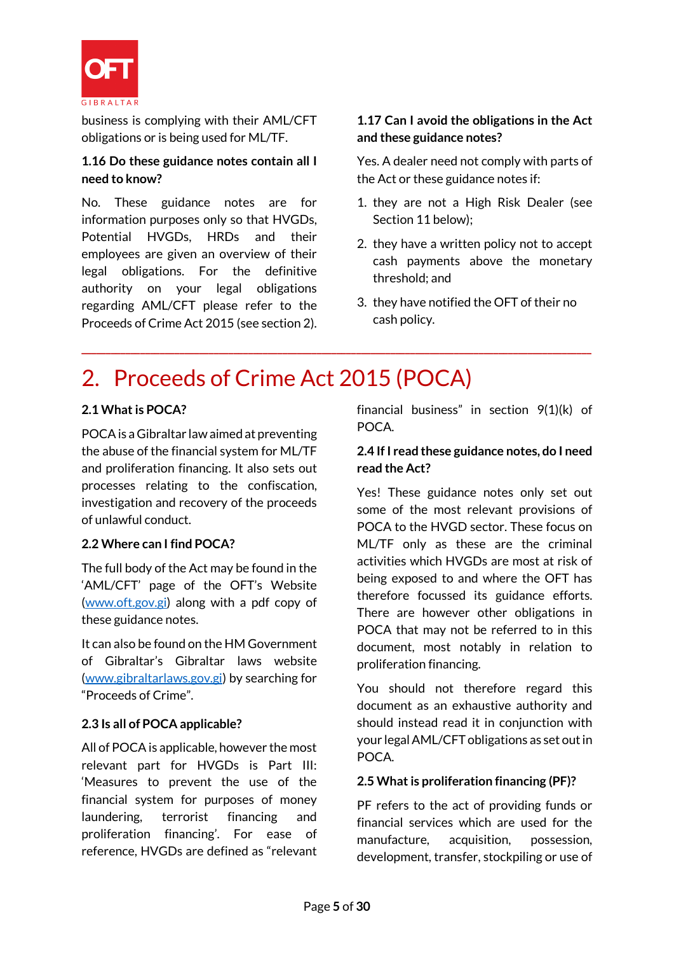

business is complying with their AML/CFT obligations or is being used for ML/TF.

# **1.16 Do these guidance notes contain all I need to know?**

No. These guidance notes are for information purposes only so that HVGDs, Potential HVGDs, HRDs and their employees are given an overview of their legal obligations. For the definitive authority on your legal obligations regarding AML/CFT please refer to the Proceeds of Crime Act 2015 (see section 2).

# **1.17 Can I avoid the obligations in the Act and these guidance notes?**

Yes. A dealer need not comply with parts of the Act or these guidance notes if:

- 1. they are not a High Risk Dealer (see Section 11 below);
- 2. they have a written policy not to accept cash payments above the monetary threshold; and
- 3. they have notified the OFT of their no cash policy.

# 2. Proceeds of Crime Act 2015 (POCA)

**\_\_\_\_\_\_\_\_\_\_\_\_\_\_\_\_\_\_\_\_\_\_\_\_\_\_\_\_\_\_\_\_\_\_\_\_\_\_\_\_\_\_\_\_\_\_\_\_\_\_\_\_\_\_\_\_\_\_\_\_\_\_\_\_\_\_\_\_\_\_\_\_\_\_\_\_\_\_\_\_\_\_\_\_\_\_\_\_\_\_\_\_\_\_\_\_\_\_\_\_\_\_\_\_**

# **2.1 What is POCA?**

POCAis a Gibraltar law aimed at preventing the abuse of the financial system for ML/TF and proliferation financing. It also sets out processes relating to the confiscation, investigation and recovery of the proceeds of unlawful conduct.

# **2.2 Where can I find POCA?**

The full body of the Act may be found in the 'AML/CFT' page of the OFT's Website [\(www.oft.gov.gi\)](http://www.oft.gov.gi/) along with a pdf copy of these guidance notes.

It can also be found on the HM Government of Gibraltar's Gibraltar laws website [\(www.gibraltarlaws.gov.gi\)](http://www.gibraltarlaws.gov.gi/) by searching for "Proceeds of Crime".

# **2.3 Is all of POCA applicable?**

All of POCA is applicable, however the most relevant part for HVGDs is Part III: 'Measures to prevent the use of the financial system for purposes of money laundering, terrorist financing and proliferation financing'. For ease of reference, HVGDs are defined as "relevant financial business" in section 9(1)(k) of POCA.

# **2.4 If I read these guidance notes, do I need read the Act?**

Yes! These guidance notes only set out some of the most relevant provisions of POCA to the HVGD sector. These focus on ML/TF only as these are the criminal activities which HVGDs are most at risk of being exposed to and where the OFT has therefore focussed its guidance efforts. There are however other obligations in POCA that may not be referred to in this document, most notably in relation to proliferation financing.

You should not therefore regard this document as an exhaustive authority and should instead read it in conjunction with your legal AML/CFT obligations as set out in POCA.

# **2.5 What is proliferation financing (PF)?**

PF refers to the act of providing funds or financial services which are used for the manufacture, acquisition, possession, development, transfer, stockpiling or use of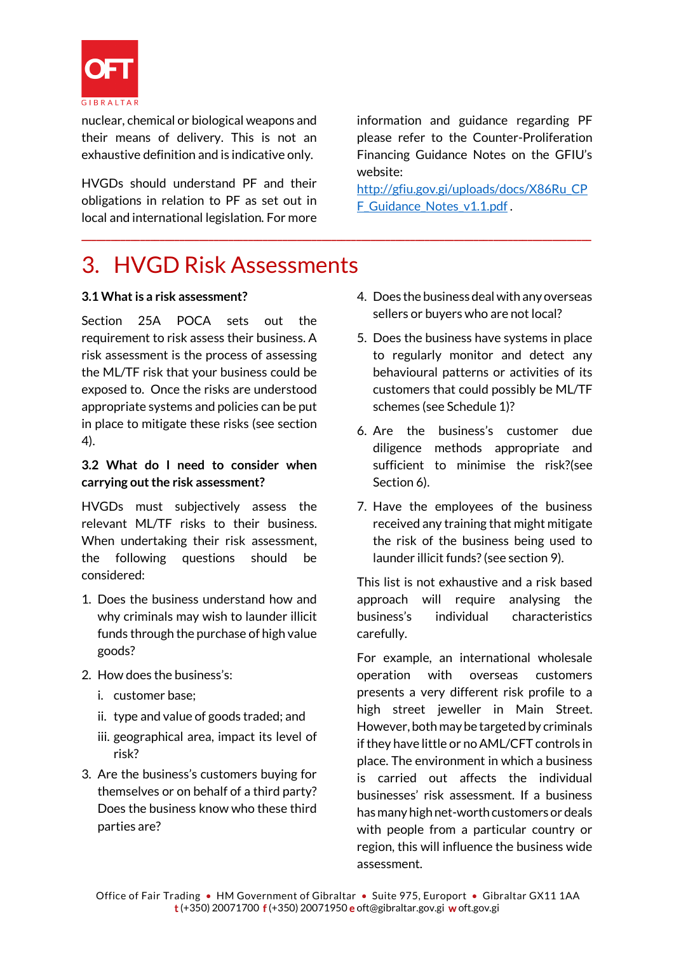

nuclear, chemical or biological weapons and their means of delivery. This is not an exhaustive definition and is indicative only.

HVGDs should understand PF and their obligations in relation to PF as set out in local and international legislation. For more information and guidance regarding PF please refer to the Counter-Proliferation Financing Guidance Notes on the GFIU's website:

[http://gfiu.gov.gi/uploads/docs/X86Ru\\_CP](http://gfiu.gov.gi/uploads/docs/X86Ru_CPF_Guidance_Notes_v1.1.pdf) F Guidance Notes v1.1.pdf.

# 3. HVGD Risk Assessments

**\_\_\_\_\_\_\_\_\_\_\_\_\_\_\_\_\_\_\_\_\_\_\_\_\_\_\_\_\_\_\_\_\_\_\_\_\_\_\_\_\_\_\_\_\_\_\_\_\_\_\_\_\_\_\_\_\_\_\_\_\_\_\_\_\_\_\_\_\_\_\_\_\_\_\_\_\_\_\_\_\_\_\_\_\_\_\_\_\_\_\_\_\_\_\_\_\_\_\_\_\_\_\_\_**

# **3.1 What is a risk assessment?**

Section 25A POCA sets out the requirement to risk assess their business. A risk assessment is the process of assessing the ML/TF risk that your business could be exposed to. Once the risks are understood appropriate systems and policies can be put in place to mitigate these risks (see section 4).

# **3.2 What do I need to consider when carrying out the risk assessment?**

HVGDs must subjectively assess the relevant ML/TF risks to their business. When undertaking their risk assessment. the following questions should be considered:

- 1. Does the business understand how and why criminals may wish to launder illicit funds through the purchase of high value goods?
- 2. How does the business's:
	- i. customer base;
	- ii. type and value of goods traded; and
	- iii. geographical area, impact its level of risk?
- 3. Are the business's customers buying for themselves or on behalf of a third party? Does the business know who these third parties are?
- 4. Does the business deal with any overseas sellers or buyers who are not local?
- 5. Does the business have systems in place to regularly monitor and detect any behavioural patterns or activities of its customers that could possibly be ML/TF schemes (see Schedule 1)?
- 6. Are the business's customer due diligence methods appropriate and sufficient to minimise the risk?(see Section 6).
- 7. Have the employees of the business received any training that might mitigate the risk of the business being used to launder illicit funds?(see section 9).

This list is not exhaustive and a risk based approach will require analysing the business's individual characteristics carefully.

For example, an international wholesale operation with overseas customers presents a very different risk profile to a high street jeweller in Main Street. However, both may be targeted by criminals if they have little or no AML/CFT controls in place. The environment in which a business is carried out affects the individual businesses' risk assessment. If a business has many high net-worth customers or deals with people from a particular country or region, this will influence the business wide assessment.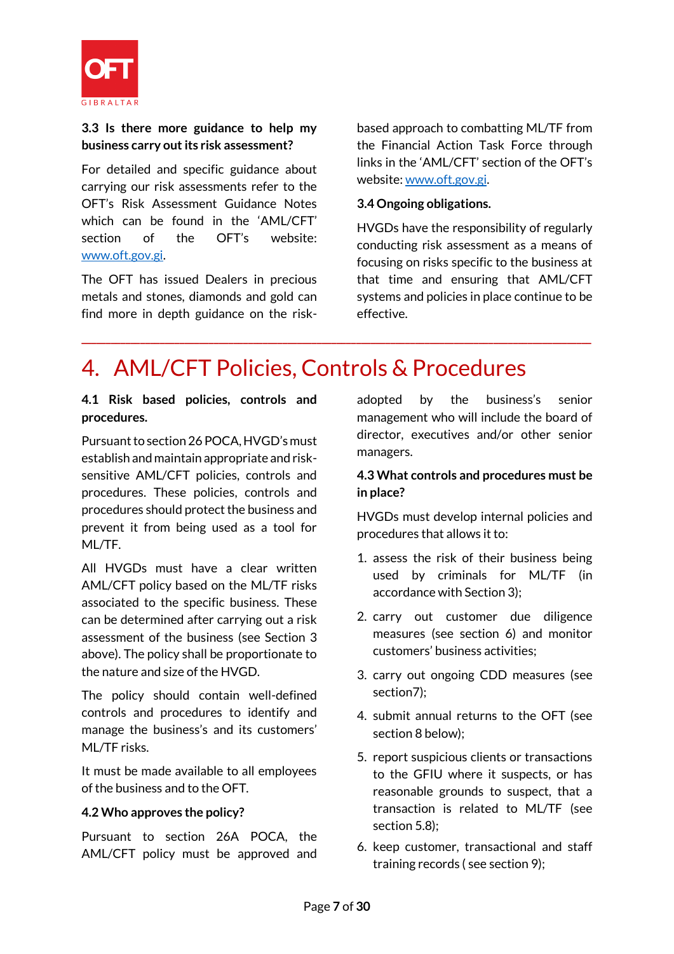

# **3.3 Is there more guidance to help my business carry out its risk assessment?**

For detailed and specific guidance about carrying our risk assessments refer to the OFT's Risk Assessment Guidance Notes which can be found in the 'AML/CFT' section of the OFT's website: [www.oft.gov.gi.](http://www.oft.gov.gi/)

The OFT has issued Dealers in precious metals and stones, diamonds and gold can find more in depth guidance on the riskbased approach to combatting ML/TF from the Financial Action Task Force through links in the 'AML/CFT' section of the OFT's website: [www.oft.gov.gi.](http://www.oft.gov.gi/)

#### **3.4 Ongoing obligations.**

HVGDs have the responsibility of regularly conducting risk assessment as a means of focusing on risks specific to the business at that time and ensuring that AML/CFT systems and policies in place continue to be effective.

# 4. AML/CFT Policies, Controls & Procedures

**\_\_\_\_\_\_\_\_\_\_\_\_\_\_\_\_\_\_\_\_\_\_\_\_\_\_\_\_\_\_\_\_\_\_\_\_\_\_\_\_\_\_\_\_\_\_\_\_\_\_\_\_\_\_\_\_\_\_\_\_\_\_\_\_\_\_\_\_\_\_\_\_\_\_\_\_\_\_\_\_\_\_\_\_\_\_\_\_\_\_\_\_\_\_\_\_\_\_\_\_\_\_\_\_**

#### **4.1 Risk based policies, controls and procedures.**

Pursuant to section 26 POCA, HVGD's must establish and maintain appropriate and risksensitive AML/CFT policies, controls and procedures. These policies, controls and procedures should protect the business and prevent it from being used as a tool for ML/TF.

All HVGDs must have a clear written AML/CFT policy based on the ML/TF risks associated to the specific business. These can be determined after carrying out a risk assessment of the business (see Section 3 above). The policy shall be proportionate to the nature and size of the HVGD.

The policy should contain well-defined controls and procedures to identify and manage the business's and its customers' ML/TF risks.

It must be made available to all employees of the business and to the OFT.

# **4.2 Who approves the policy?**

Pursuant to section 26A POCA, the AML/CFT policy must be approved and adopted by the business's senior management who will include the board of director, executives and/or other senior managers.

#### **4.3 What controls and procedures must be in place?**

HVGDs must develop internal policies and procedures that allows it to:

- 1. assess the risk of their business being used by criminals for ML/TF (in accordance with Section 3);
- 2. carry out customer due diligence measures (see section 6) and monitor customers' business activities;
- 3. carry out ongoing CDD measures (see section7);
- 4. submit annual returns to the OFT (see section 8 below);
- 5. report suspicious clients or transactions to the GFIU where it suspects, or has reasonable grounds to suspect, that a transaction is related to ML/TF (see section 5.8);
- 6. keep customer, transactional and staff training records ( see section 9);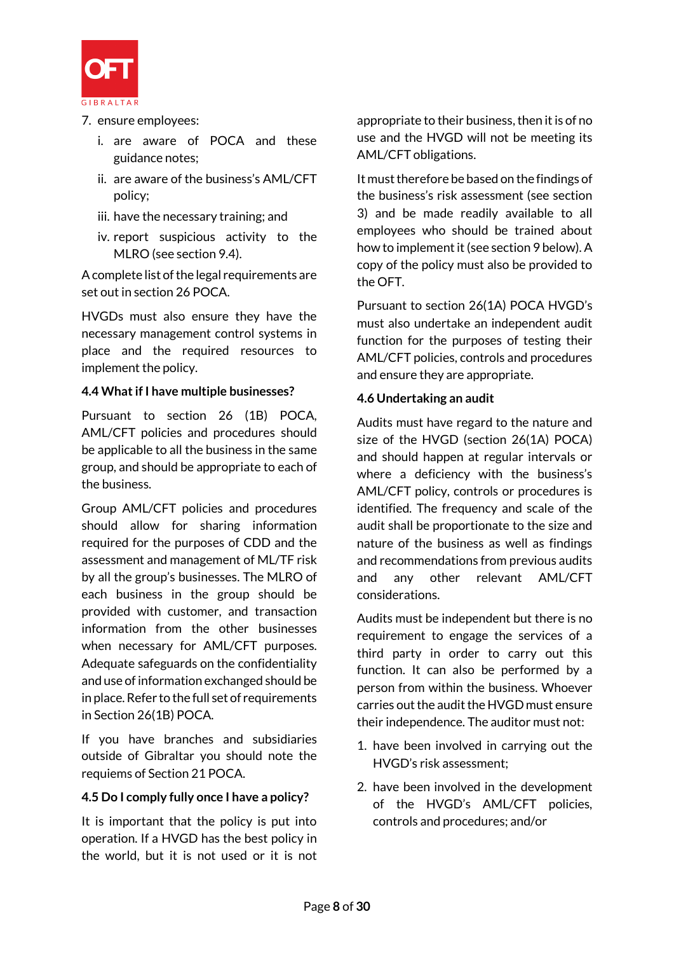

- 7. ensure employees:
	- i. are aware of POCA and these guidance notes;
	- ii. are aware of the business's AML/CFT policy;
	- iii. have the necessary training; and
	- iv. report suspicious activity to the MLRO (see section 9.4).

A complete list of the legal requirements are set out in section 26 POCA.

HVGDs must also ensure they have the necessary management control systems in place and the required resources to implement the policy.

# **4.4 What if I have multiple businesses?**

Pursuant to section 26 (1B) POCA, AML/CFT policies and procedures should be applicable to all the business in the same group, and should be appropriate to each of the business.

Group AML/CFT policies and procedures should allow for sharing information required for the purposes of CDD and the assessment and management of ML/TF risk by all the group's businesses. The MLRO of each business in the group should be provided with customer, and transaction information from the other businesses when necessary for AML/CFT purposes. Adequate safeguards on the confidentiality and use of information exchanged should be in place. Refer to the full set of requirements in Section 26(1B) POCA.

If you have branches and subsidiaries outside of Gibraltar you should note the requiems of Section 21 POCA.

# **4.5 Do I comply fully once I have a policy?**

It is important that the policy is put into operation. If a HVGD has the best policy in the world, but it is not used or it is not

appropriate to their business, then it is of no use and the HVGD will not be meeting its AML/CFT obligations.

It must therefore be based on the findings of the business's risk assessment (see section 3) and be made readily available to all employees who should be trained about how to implement it(see section 9 below). A copy of the policy must also be provided to the OFT.

Pursuant to section 26(1A) POCA HVGD's must also undertake an independent audit function for the purposes of testing their AML/CFT policies, controls and procedures and ensure they are appropriate.

#### **4.6 Undertaking an audit**

Audits must have regard to the nature and size of the HVGD (section 26(1A) POCA) and should happen at regular intervals or where a deficiency with the business's AML/CFT policy, controls or procedures is identified. The frequency and scale of the audit shall be proportionate to the size and nature of the business as well as findings and recommendations from previous audits and any other relevant AML/CFT considerations.

Audits must be independent but there is no requirement to engage the services of a third party in order to carry out this function. It can also be performed by a person from within the business. Whoever carries out the audit the HVGD must ensure their independence. The auditor must not:

- 1. have been involved in carrying out the HVGD's risk assessment;
- 2. have been involved in the development of the HVGD's AML/CFT policies, controls and procedures; and/or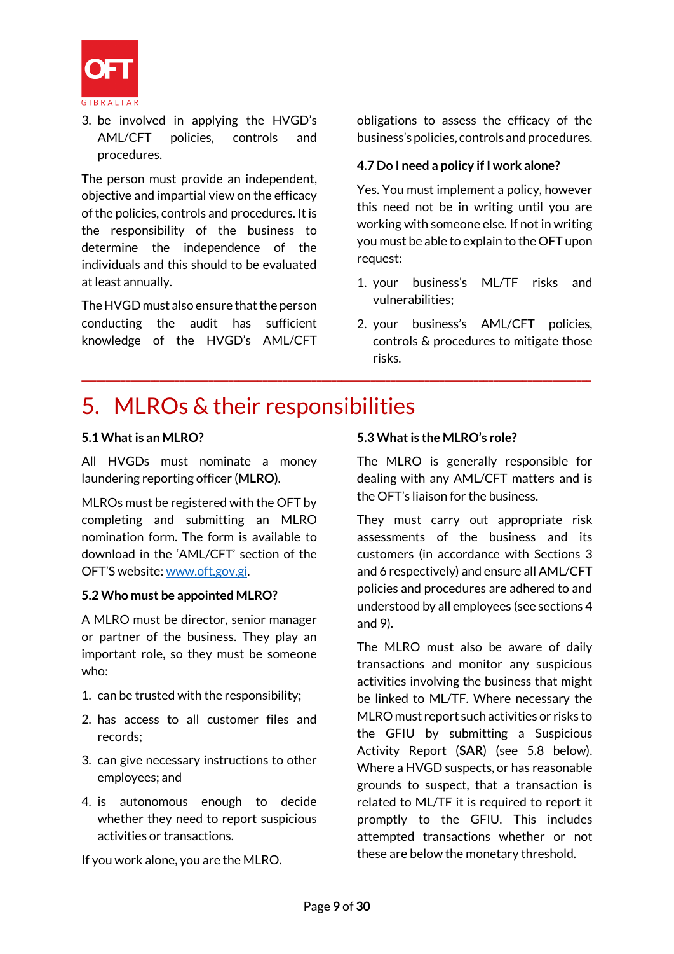

3. be involved in applying the HVGD's AML/CFT policies, controls and procedures.

The person must provide an independent, objective and impartial view on the efficacy of the policies, controls and procedures. It is the responsibility of the business to determine the independence of the individuals and this should to be evaluated at least annually.

The HVGD must also ensure that the person conducting the audit has sufficient knowledge of the HVGD's AML/CFT

obligations to assess the efficacy of the business's policies, controls and procedures.

#### **4.7 Do I need a policy if I work alone?**

Yes. You must implement a policy, however this need not be in writing until you are working with someone else. If not in writing you must be able to explain to the OFT upon request:

- 1. your business's ML/TF risks and vulnerabilities;
- 2. your business's AML/CFT policies, controls & procedures to mitigate those risks.

# 5. MLROs & their responsibilities

**\_\_\_\_\_\_\_\_\_\_\_\_\_\_\_\_\_\_\_\_\_\_\_\_\_\_\_\_\_\_\_\_\_\_\_\_\_\_\_\_\_\_\_\_\_\_\_\_\_\_\_\_\_\_\_\_\_\_\_\_\_\_\_\_\_\_\_\_\_\_\_\_\_\_\_\_\_\_\_\_\_\_\_\_\_\_\_\_\_\_\_\_\_\_\_\_\_\_\_\_\_\_\_\_**

# **5.1 What is an MLRO?**

All HVGDs must nominate a money laundering reporting officer (**MLRO)**.

MLROs must be registered with the OFT by completing and submitting an MLRO nomination form. The form is available to download in the 'AML/CFT' section of the OFT'S website: [www.oft.gov.gi.](http://www.oft.gov.gi/index.php/aml-cft)

# **5.2 Who must be appointed MLRO?**

A MLRO must be director, senior manager or partner of the business. They play an important role, so they must be someone who:

- 1. can be trusted with the responsibility;
- 2. has access to all customer files and records;
- 3. can give necessary instructions to other employees; and
- 4. is autonomous enough to decide whether they need to report suspicious activities or transactions.

If you work alone, you are the MLRO.

# **5.3 What is the MLRO's role?**

The MLRO is generally responsible for dealing with any AML/CFT matters and is the OFT's liaison for the business.

They must carry out appropriate risk assessments of the business and its customers (in accordance with Sections 3 and 6 respectively) and ensure all AML/CFT policies and procedures are adhered to and understood by all employees (see sections 4 and 9).

The MLRO must also be aware of daily transactions and monitor any suspicious activities involving the business that might be linked to ML/TF. Where necessary the MLRO must report such activities or risks to the GFIU by submitting a Suspicious Activity Report (**SAR**) (see 5.8 below). Where a HVGD suspects, or has reasonable grounds to suspect, that a transaction is related to ML/TF it is required to report it promptly to the GFIU. This includes attempted transactions whether or not these are below the monetary threshold.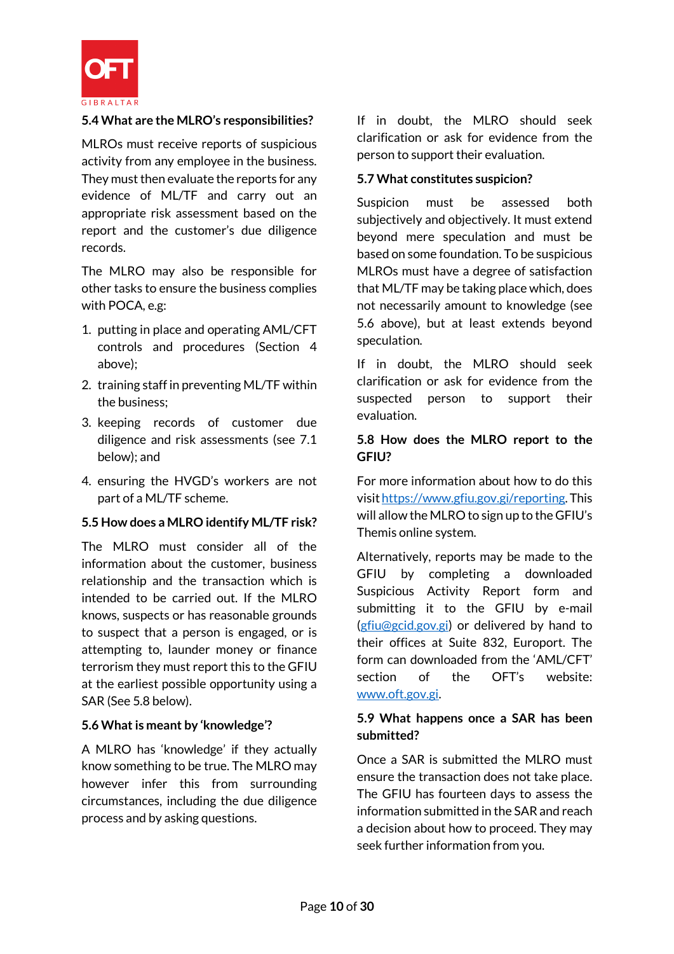

#### **5.4 What are the MLRO's responsibilities?**

MLROs must receive reports of suspicious activity from any employee in the business. They must then evaluate the reports for any evidence of ML/TF and carry out an appropriate risk assessment based on the report and the customer's due diligence records.

The MLRO may also be responsible for other tasks to ensure the business complies with POCA, e.g:

- 1. putting in place and operating AML/CFT controls and procedures (Section 4 above);
- 2. training staff in preventing ML/TF within the business;
- 3. keeping records of customer due diligence and risk assessments (see 7.1 below); and
- 4. ensuring the HVGD's workers are not part of a ML/TF scheme.

#### **5.5 How does a MLRO identify ML/TF risk?**

The MLRO must consider all of the information about the customer, business relationship and the transaction which is intended to be carried out. If the MLRO knows, suspects or has reasonable grounds to suspect that a person is engaged, or is attempting to, launder money or finance terrorism they must report this to the GFIU at the earliest possible opportunity using a SAR (See 5.8 below).

#### **5.6 What is meant by 'knowledge'?**

A MLRO has 'knowledge' if they actually know something to be true. The MLRO may however infer this from surrounding circumstances, including the due diligence process and by asking questions.

If in doubt, the MLRO should seek clarification or ask for evidence from the person to support their evaluation.

#### **5.7 What constitutes suspicion?**

Suspicion must be assessed both subjectively and objectively. It must extend beyond mere speculation and must be based on some foundation. To be suspicious MLROs must have a degree of satisfaction that ML/TF may be taking place which, does not necessarily amount to knowledge (see 5.6 above), but at least extends beyond speculation.

If in doubt, the MLRO should seek clarification or ask for evidence from the suspected person to support their evaluation.

#### **5.8 How does the MLRO report to the GFIU?**

For more information about how to do this visi[t https://www.gfiu.gov.gi/reporting.](https://www.gfiu.gov.gi/reporting) This will allow the MLRO to sign up to the GFIU's Themis online system.

Alternatively, reports may be made to the GFIU by completing a downloaded Suspicious Activity Report form and submitting it to the GFIU by e-mail [\(gfiu@gcid.gov.gi\)](mailto:gfiu@gcid.gov.gi) or delivered by hand to their offices at Suite 832, Europort. The form can downloaded from the 'AML/CFT' section of the OFT's website: [www.oft.gov.gi.](http://www.oft.gov.gi/)

# **5.9 What happens once a SAR has been submitted?**

Once a SAR is submitted the MLRO must ensure the transaction does not take place. The GFIU has fourteen days to assess the information submitted in the SAR and reach a decision about how to proceed. They may seek further information from you.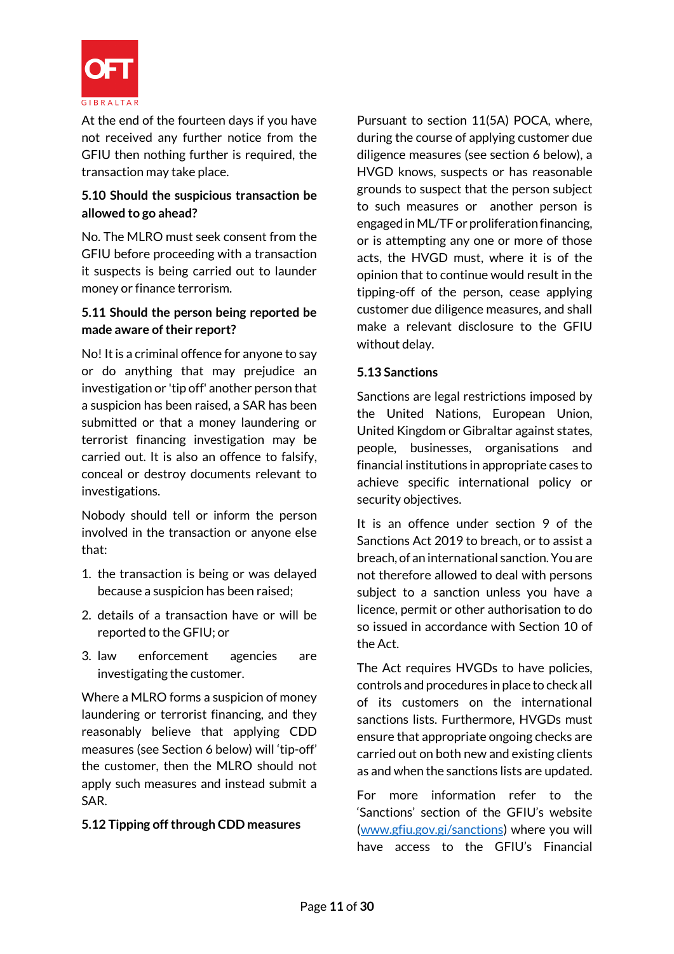

At the end of the fourteen days if you have not received any further notice from the GFIU then nothing further is required, the transaction may take place.

# **5.10 Should the suspicious transaction be allowed to go ahead?**

No. The MLRO must seek consent from the GFIU before proceeding with a transaction it suspects is being carried out to launder money or finance terrorism.

# **5.11 Should the person being reported be made aware of their report?**

No! It is a criminal offence for anyone to say or do anything that may prejudice an investigation or 'tip off' another person that a suspicion has been raised, a SAR has been submitted or that a money laundering or terrorist financing investigation may be carried out. It is also an offence to falsify, conceal or destroy documents relevant to investigations.

Nobody should tell or inform the person involved in the transaction or anyone else that:

- 1. the transaction is being or was delayed because a suspicion has been raised;
- 2. details of a transaction have or will be reported to the GFIU; or
- 3. law enforcement agencies are investigating the customer.

Where a MLRO forms a suspicion of money laundering or terrorist financing, and they reasonably believe that applying CDD measures (see Section 6 below) will 'tip-off' the customer, then the MLRO should not apply such measures and instead submit a SAR.

# **5.12 Tipping off through CDD measures**

Pursuant to section 11(5A) POCA, where, during the course of applying customer due diligence measures (see section 6 below), a HVGD knows, suspects or has reasonable grounds to suspect that the person subject to such measures or another person is engaged in ML/TF or proliferation financing, or is attempting any one or more of those acts, the HVGD must, where it is of the opinion that to continue would result in the tipping-off of the person, cease applying customer due diligence measures, and shall make a relevant disclosure to the GFIU without delay.

# **5.13 Sanctions**

Sanctions are legal restrictions imposed by the United Nations, European Union, United Kingdom or Gibraltar against states, people, businesses, organisations and financial institutions in appropriate cases to achieve specific international policy or security objectives.

It is an offence under section 9 of the Sanctions Act 2019 to breach, or to assist a breach, of an international sanction. You are not therefore allowed to deal with persons subject to a sanction unless you have a licence, permit or other authorisation to do so issued in accordance with Section 10 of the Act.

The Act requires HVGDs to have policies, controls and procedures in place to check all of its customers on the international sanctions lists. Furthermore, HVGDs must ensure that appropriate ongoing checks are carried out on both new and existing clients as and when the sanctions lists are updated.

For more information refer to the 'Sanctions' section of the GFIU's website [\(www.gfiu.gov.gi/sanctions\)](http://www.gfiu.gov.gi/sanctions) where you will have access to the GFIU's Financial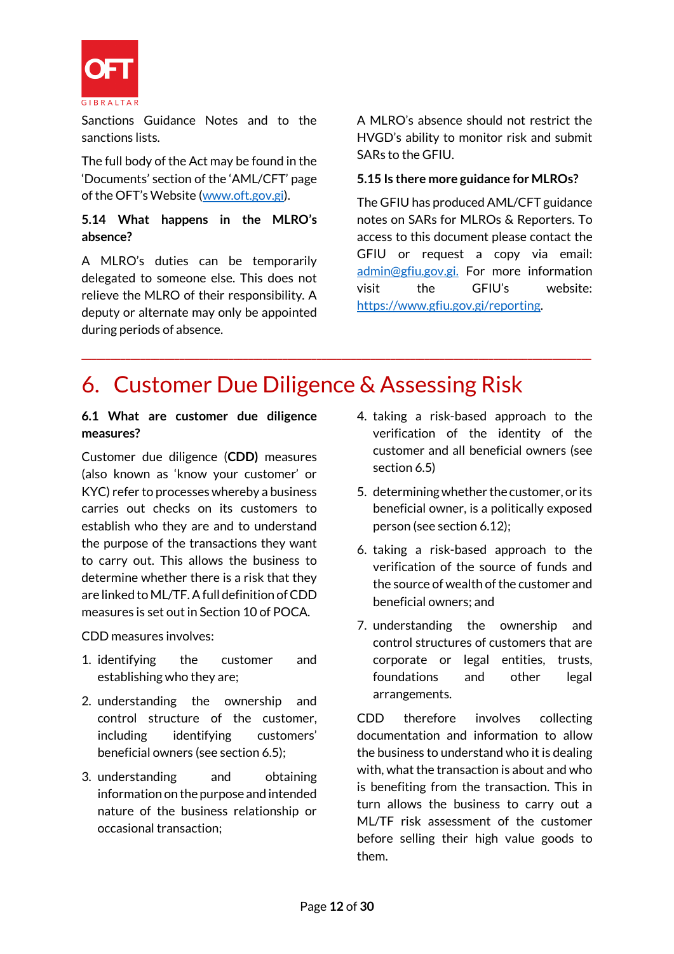

Sanctions Guidance Notes and to the sanctions lists.

The full body of the Act may be found in the 'Documents' section of the 'AML/CFT' page of the OFT's Website ([www.oft.gov.gi\)](http://www.oft.gov.gi/).

# **5.14 What happens in the MLRO's absence?**

A MLRO's duties can be temporarily delegated to someone else. This does not relieve the MLRO of their responsibility. A deputy or alternate may only be appointed during periods of absence.

A MLRO's absence should not restrict the HVGD's ability to monitor risk and submit SARs to the GFIU.

# **5.15 Is there more guidance for MLROs?**

The GFIU has produced AML/CFT guidance notes on SARs for MLROs & Reporters. To access to this document please contact the GFIU or request a copy via email: [admin@gfiu.gov.gi.](mailto:admin@gfiu.gov.gi) For more information visit the GFIU's website: [https://www.gfiu.gov.gi/reporting.](https://www.gfiu.gov.gi/reporting)

# 6. Customer Due Diligence & Assessing Risk

**\_\_\_\_\_\_\_\_\_\_\_\_\_\_\_\_\_\_\_\_\_\_\_\_\_\_\_\_\_\_\_\_\_\_\_\_\_\_\_\_\_\_\_\_\_\_\_\_\_\_\_\_\_\_\_\_\_\_\_\_\_\_\_\_\_\_\_\_\_\_\_\_\_\_\_\_\_\_\_\_\_\_\_\_\_\_\_\_\_\_\_\_\_\_\_\_\_\_\_\_\_\_\_\_**

#### **6.1 What are customer due diligence measures?**

Customer due diligence (**CDD)** measures (also known as 'know your customer' or KYC) refer to processes whereby a business carries out checks on its customers to establish who they are and to understand the purpose of the transactions they want to carry out. This allows the business to determine whether there is a risk that they are linked to ML/TF. A full definition of CDD measures is set out in Section 10 of POCA.

CDD measures involves:

- 1. identifying the customer and establishing who they are;
- 2. understanding the ownership and control structure of the customer, including identifying customers' beneficial owners (see section 6.5);
- 3. understanding and obtaining information on the purpose and intended nature of the business relationship or occasional transaction;
- 4. taking a risk-based approach to the verification of the identity of the customer and all beneficial owners (see section 6.5)
- 5. determining whether the customer, or its beneficial owner, is a politically exposed person (see section 6.12);
- 6. taking a risk-based approach to the verification of the source of funds and the source of wealth of the customer and beneficial owners; and
- 7. understanding the ownership and control structures of customers that are corporate or legal entities, trusts, foundations and other legal arrangements.

CDD therefore involves collecting documentation and information to allow the business to understand who it is dealing with, what the transaction is about and who is benefiting from the transaction. This in turn allows the business to carry out a ML/TF risk assessment of the customer before selling their high value goods to them.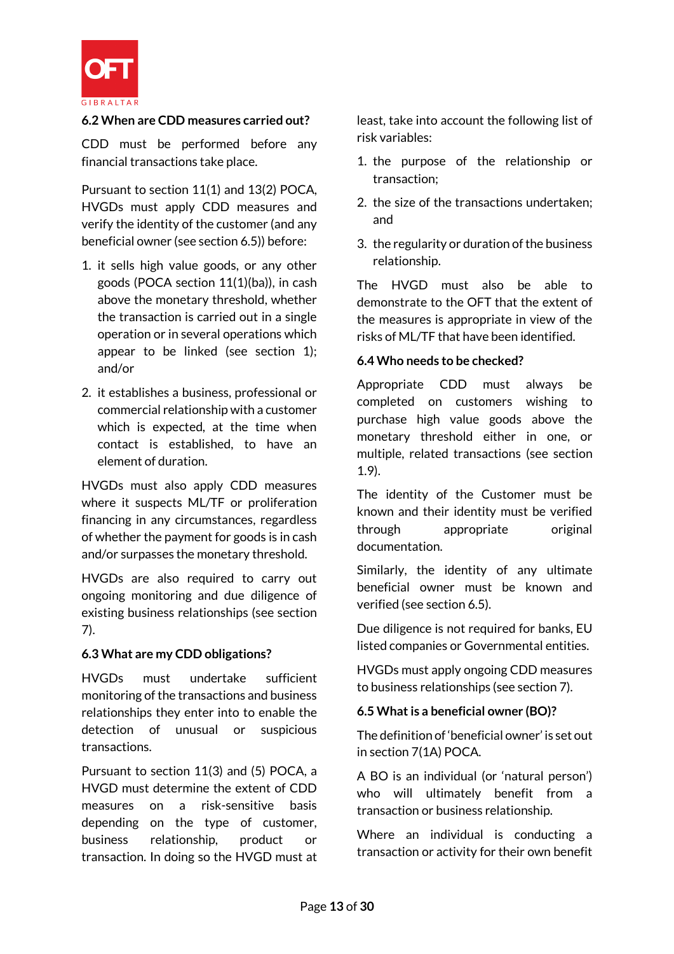

#### **6.2 When are CDD measures carried out?**

CDD must be performed before any financial transactions take place.

Pursuant to section 11(1) and 13(2) POCA, HVGDs must apply CDD measures and verify the identity of the customer (and any beneficial owner (see section 6.5)) before:

- 1. it sells high value goods, or any other goods (POCA section 11(1)(ba)), in cash above the monetary threshold, whether the transaction is carried out in a single operation or in several operations which appear to be linked (see section 1); and/or
- 2. it establishes a business, professional or commercial relationship with a customer which is expected, at the time when contact is established, to have an element of duration.

HVGDs must also apply CDD measures where it suspects ML/TF or proliferation financing in any circumstances, regardless of whether the payment for goods is in cash and/or surpasses the monetary threshold.

HVGDs are also required to carry out ongoing monitoring and due diligence of existing business relationships (see section 7).

# **6.3 What are my CDD obligations?**

HVGDs must undertake sufficient monitoring of the transactions and business relationships they enter into to enable the detection of unusual or suspicious transactions.

Pursuant to section 11(3) and (5) POCA, a HVGD must determine the extent of CDD measures on a risk-sensitive basis depending on the type of customer, business relationship, product or transaction. In doing so the HVGD must at least, take into account the following list of risk variables:

- 1. the purpose of the relationship or transaction;
- 2. the size of the transactions undertaken; and
- 3. the regularity or duration of the business relationship.

The HVGD must also be able to demonstrate to the OFT that the extent of the measures is appropriate in view of the risks of ML/TF that have been identified.

#### **6.4 Who needs to be checked?**

Appropriate CDD must always be completed on customers wishing to purchase high value goods above the monetary threshold either in one, or multiple, related transactions (see section 1.9).

The identity of the Customer must be known and their identity must be verified through appropriate original documentation.

Similarly, the identity of any ultimate beneficial owner must be known and verified (see section 6.5).

Due diligence is not required for banks, EU listed companies or Governmental entities.

HVGDs must apply ongoing CDD measures to business relationships (see section 7).

# **6.5 What is a beneficial owner (BO)?**

The definition of 'beneficial owner' is set out in section 7(1A) POCA.

A BO is an individual (or 'natural person') who will ultimately benefit from a transaction or business relationship.

Where an individual is conducting a transaction or activity for their own benefit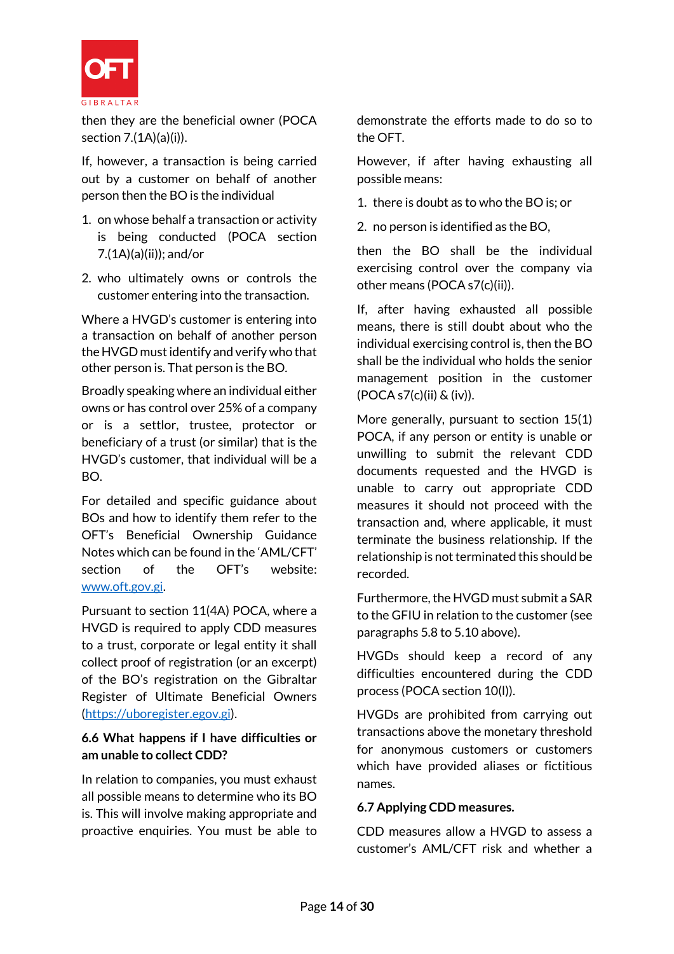

then they are the beneficial owner (POCA section 7.(1A)(a)(i)).

If, however, a transaction is being carried out by a customer on behalf of another person then the BO is the individual

- 1. on whose behalf a transaction or activity is being conducted (POCA section 7.(1A)(a)(ii)); and/or
- 2. who ultimately owns or controls the customer entering into the transaction.

Where a HVGD's customer is entering into a transaction on behalf of another person the HVGD must identify and verify who that other person is. That person is the BO.

Broadly speaking where an individual either owns or has control over 25% of a company or is a settlor, trustee, protector or beneficiary of a trust (or similar) that is the HVGD's customer, that individual will be a BO.

For detailed and specific guidance about BOs and how to identify them refer to the OFT's Beneficial Ownership Guidance Notes which can be found in the 'AML/CFT' section of the OFT's website: [www.oft.gov.gi.](http://www.oft.gov.gi/)

Pursuant to section 11(4A) POCA, where a HVGD is required to apply CDD measures to a trust, corporate or legal entity it shall collect proof of registration (or an excerpt) of the BO's registration on the Gibraltar Register of Ultimate Beneficial Owners [\(https://uboregister.egov.gi\)](https://uboregister.egov.gi/).

# **6.6 What happens if I have difficulties or am unable to collect CDD?**

In relation to companies, you must exhaust all possible means to determine who its BO is. This will involve making appropriate and proactive enquiries. You must be able to demonstrate the efforts made to do so to the OFT.

However, if after having exhausting all possible means:

1. there is doubt as to who the BO is; or

2. no person is identified as the BO,

then the BO shall be the individual exercising control over the company via other means (POCA s7(c)(ii)).

If, after having exhausted all possible means, there is still doubt about who the individual exercising control is, then the BO shall be the individual who holds the senior management position in the customer (POCA s7(c)(ii) & (iv)).

More generally, pursuant to section 15(1) POCA, if any person or entity is unable or unwilling to submit the relevant CDD documents requested and the HVGD is unable to carry out appropriate CDD measures it should not proceed with the transaction and, where applicable, it must terminate the business relationship. If the relationship is not terminated this should be recorded.

Furthermore, the HVGD must submit a SAR to the GFIU in relation to the customer (see paragraphs 5.8 to 5.10 above).

HVGDs should keep a record of any difficulties encountered during the CDD process (POCA section 10(l)).

HVGDs are prohibited from carrying out transactions above the monetary threshold for anonymous customers or customers which have provided aliases or fictitious names.

# **6.7 Applying CDD measures.**

CDD measures allow a HVGD to assess a customer's AML/CFT risk and whether a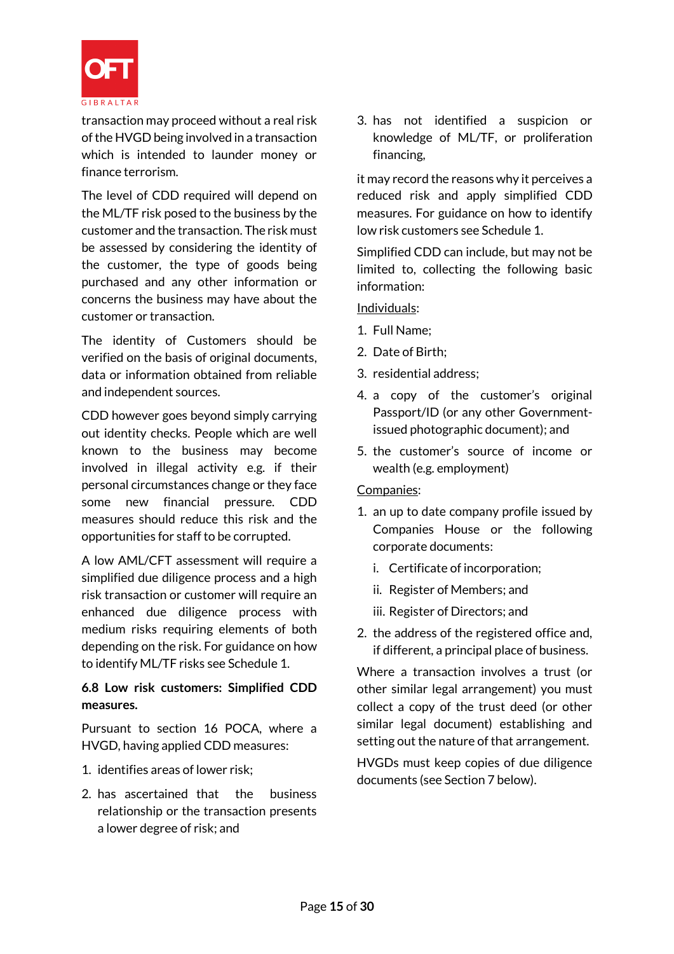

transaction may proceed without a real risk of the HVGD being involved in a transaction which is intended to launder money or finance terrorism.

The level of CDD required will depend on the ML/TF risk posed to the business by the customer and the transaction. The risk must be assessed by considering the identity of the customer, the type of goods being purchased and any other information or concerns the business may have about the customer or transaction.

The identity of Customers should be verified on the basis of original documents, data or information obtained from reliable and independent sources.

CDD however goes beyond simply carrying out identity checks. People which are well known to the business may become involved in illegal activity e.g. if their personal circumstances change or they face some new financial pressure. CDD measures should reduce this risk and the opportunities for staff to be corrupted.

A low AML/CFT assessment will require a simplified due diligence process and a high risk transaction or customer will require an enhanced due diligence process with medium risks requiring elements of both depending on the risk. For guidance on how to identify ML/TF risks see Schedule 1.

# **6.8 Low risk customers: Simplified CDD measures.**

Pursuant to section 16 POCA, where a HVGD, having applied CDD measures:

- 1. identifies areas of lower risk;
- 2. has ascertained that the business relationship or the transaction presents a lower degree of risk; and

3. has not identified a suspicion or knowledge of ML/TF, or proliferation financing,

it may record the reasons why it perceives a reduced risk and apply simplified CDD measures. For guidance on how to identify low risk customers see Schedule 1.

Simplified CDD can include, but may not be limited to, collecting the following basic information:

Individuals:

- 1. Full Name;
- 2. Date of Birth;
- 3. residential address;
- 4. a copy of the customer's original Passport/ID (or any other Governmentissued photographic document); and
- 5. the customer's source of income or wealth (e.g. employment)

# Companies:

- 1. an up to date company profile issued by Companies House or the following corporate documents:
	- i. Certificate of incorporation;
	- ii. Register of Members; and
	- iii. Register of Directors; and
- 2. the address of the registered office and, if different, a principal place of business.

Where a transaction involves a trust (or other similar legal arrangement) you must collect a copy of the trust deed (or other similar legal document) establishing and setting out the nature of that arrangement.

HVGDs must keep copies of due diligence documents (see Section 7 below).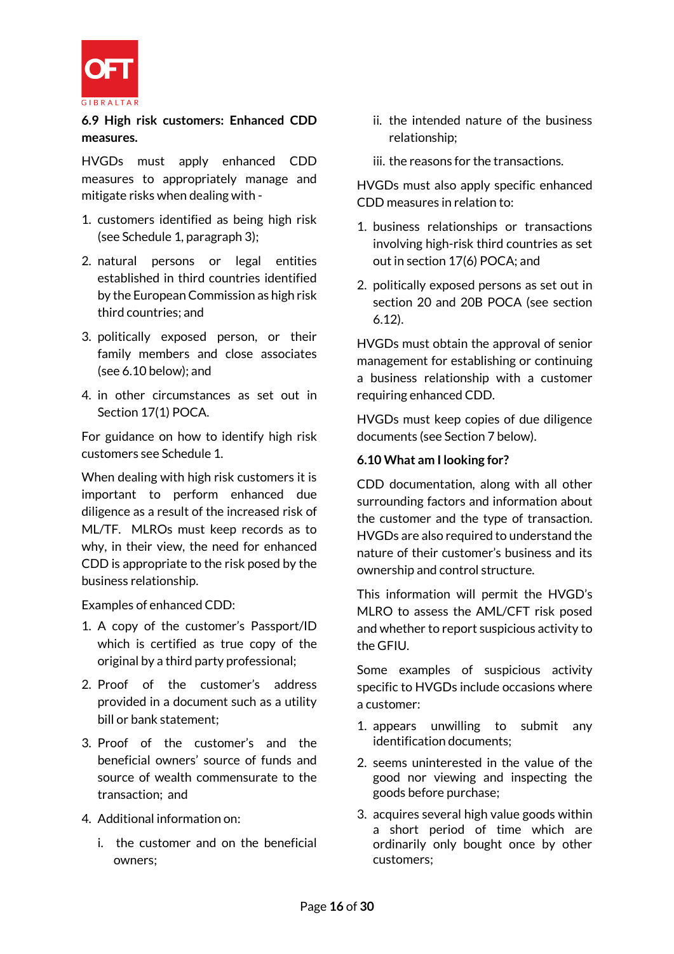

**6.9 High risk customers: Enhanced CDD measures.**

HVGDs must apply enhanced CDD measures to appropriately manage and mitigate risks when dealing with -

- 1. customers identified as being high risk (see Schedule 1, paragraph 3);
- 2. natural persons or legal entities established in third countries identified by the European Commission as high risk third countries; and
- 3. politically exposed person, or their family members and close associates (see 6.10 below); and
- 4. in other circumstances as set out in Section 17(1) POCA.

For guidance on how to identify high risk customers see Schedule 1.

When dealing with high risk customers it is important to perform enhanced due diligence as a result of the increased risk of ML/TF. MLROs must keep records as to why, in their view, the need for enhanced CDD is appropriate to the risk posed by the business relationship.

Examples of enhanced CDD:

- 1. A copy of the customer's Passport/ID which is certified as true copy of the original by a third party professional;
- 2. Proof of the customer's address provided in a document such as a utility bill or bank statement;
- 3. Proof of the customer's and the beneficial owners' source of funds and source of wealth commensurate to the transaction; and
- 4. Additional information on:
	- i. the customer and on the beneficial owners;
- ii. the intended nature of the business relationship;
- iii. the reasons for the transactions.

HVGDs must also apply specific enhanced CDD measures in relation to:

- 1. business relationships or transactions involving high-risk third countries as set out in section 17(6) POCA; and
- 2. politically exposed persons as set out in section 20 and 20B POCA (see section 6.12).

HVGDs must obtain the approval of senior management for establishing or continuing a business relationship with a customer requiring enhanced CDD.

HVGDs must keep copies of due diligence documents (see Section 7 below).

# **6.10 What am I looking for?**

CDD documentation, along with all other surrounding factors and information about the customer and the type of transaction. HVGDs are also required to understand the nature of their customer's business and its ownership and control structure.

This information will permit the HVGD's MLRO to assess the AML/CFT risk posed and whether to report suspicious activity to the GFIU.

Some examples of suspicious activity specific to HVGDs include occasions where a customer:

- 1. appears unwilling to submit any identification documents;
- 2. seems uninterested in the value of the good nor viewing and inspecting the goods before purchase;
- 3. acquires several high value goods within a short period of time which are ordinarily only bought once by other customers;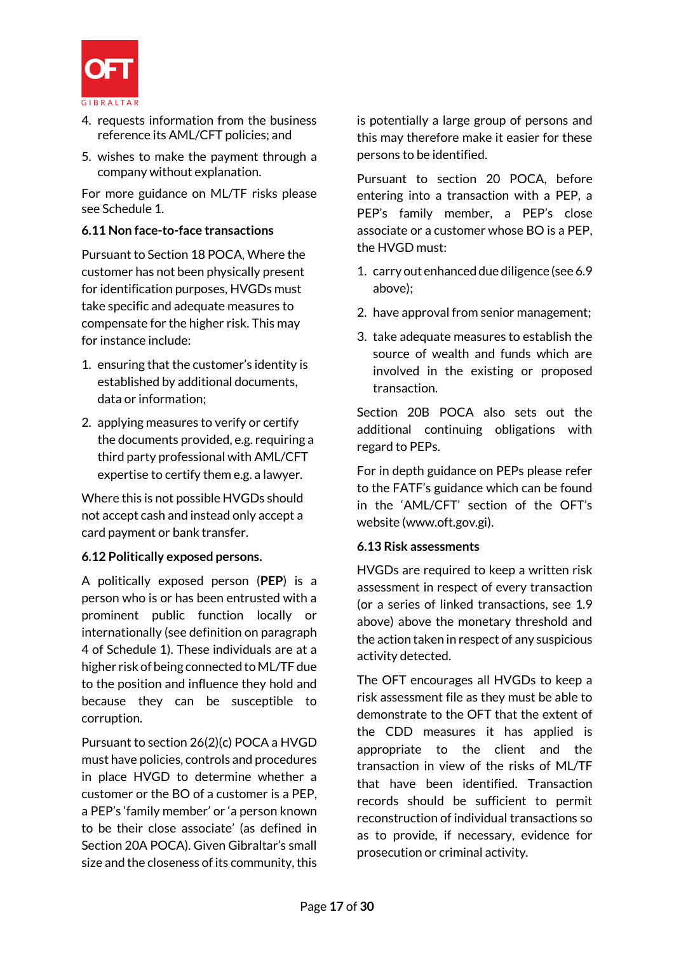

- 4. requests information from the business reference its AML/CFT policies; and
- 5. wishes to make the payment through a company without explanation.

For more guidance on ML/TF risks please see Schedule 1.

# **6.11 Non face-to-face transactions**

Pursuant to Section 18 POCA, Where the customer has not been physically present for identification purposes, HVGDs must take specific and adequate measures to compensate for the higher risk. This may for instance include:

- 1. ensuring that the customer's identity is established by additional documents, data or information;
- 2. applying measures to verify or certify the documents provided, e.g. requiring a third party professional with AML/CFT expertise to certify them e.g. a lawyer.

Where this is not possible HVGDs should not accept cash and instead only accept a card payment or bank transfer.

# **6.12 Politically exposed persons.**

A politically exposed person (**PEP**) is a person who is or has been entrusted with a prominent public function locally or internationally (see definition on paragraph 4 of Schedule 1). These individuals are at a higher risk of being connected to ML/TF due to the position and influence they hold and because they can be susceptible to corruption.

Pursuant to section 26(2)(c) POCA a HVGD must have policies, controls and procedures in place HVGD to determine whether a customer or the BO of a customer is a PEP, a PEP's 'family member' or 'a person known to be their close associate' (as defined in Section 20A POCA). Given Gibraltar's small size and the closeness of its community, this is potentially a large group of persons and this may therefore make it easier for these persons to be identified.

Pursuant to section 20 POCA, before entering into a transaction with a PEP, a PEP's family member, a PEP's close associate or a customer whose BO is a PEP, the HVGD must:

- 1. carry out enhanceddue diligence (see 6.9 above);
- 2. have approval from senior management;
- 3. take adequate measures to establish the source of wealth and funds which are involved in the existing or proposed transaction.

Section 20B POCA also sets out the additional continuing obligations with regard to PEPs.

For in depth guidance on PEPs please refer to the FATF's guidance which can be found in the 'AML/CFT' section of the OFT's website (www.oft.gov.gi).

# **6.13 Risk assessments**

HVGDs are required to keep a written risk assessment in respect of every transaction (or a series of linked transactions, see 1.9 above) above the monetary threshold and the action taken in respect of any suspicious activity detected.

The OFT encourages all HVGDs to keep a risk assessment file as they must be able to demonstrate to the OFT that the extent of the CDD measures it has applied is appropriate to the client and the transaction in view of the risks of ML/TF that have been identified. Transaction records should be sufficient to permit reconstruction of individual transactions so as to provide, if necessary, evidence for prosecution or criminal activity.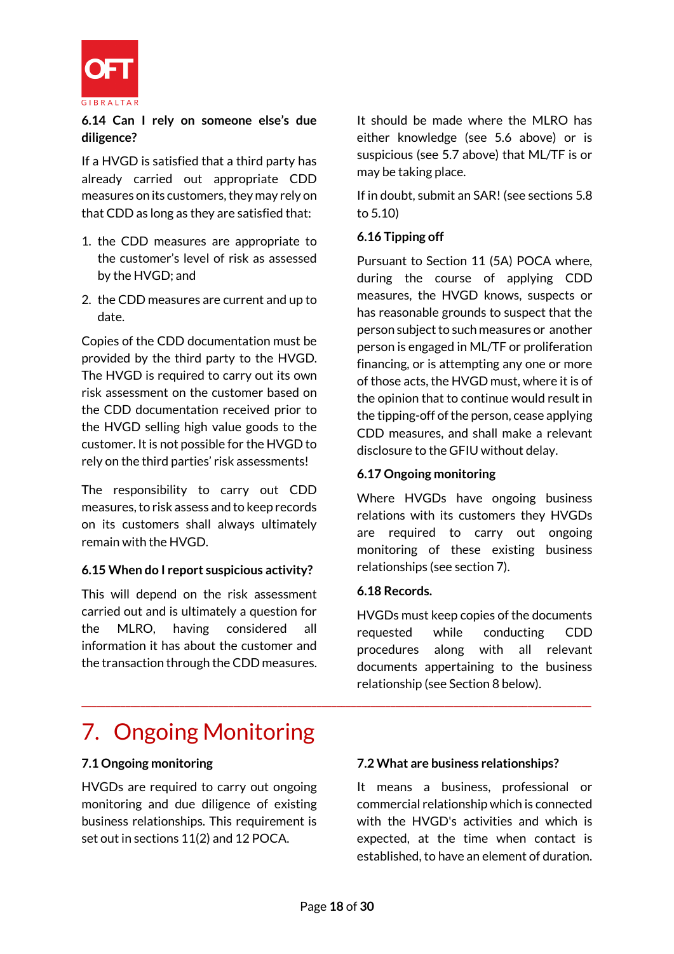

**6.14 Can I rely on someone else's due diligence?**

If a HVGD is satisfied that a third party has already carried out appropriate CDD measures on its customers, they may rely on that CDD as long as they are satisfied that:

- 1. the CDD measures are appropriate to the customer's level of risk as assessed by the HVGD; and
- 2. the CDD measures are current and up to date.

Copies of the CDD documentation must be provided by the third party to the HVGD. The HVGD is required to carry out its own risk assessment on the customer based on the CDD documentation received prior to the HVGD selling high value goods to the customer. It is not possible for the HVGD to rely on the third parties' risk assessments!

The responsibility to carry out CDD measures, to risk assess and to keep records on its customers shall always ultimately remain with the HVGD.

# **6.15 When do I report suspicious activity?**

This will depend on the risk assessment carried out and is ultimately a question for the MLRO, having considered all information it has about the customer and the transaction through the CDD measures. It should be made where the MLRO has either knowledge (see 5.6 above) or is suspicious (see 5.7 above) that ML/TF is or may be taking place.

If in doubt, submit an SAR! (see sections 5.8 to 5.10)

#### **6.16 Tipping off**

Pursuant to Section 11 (5A) POCA where, during the course of applying CDD measures, the HVGD knows, suspects or has reasonable grounds to suspect that the person subject to such measures or another person is engaged in ML/TF or proliferation financing, or is attempting any one or more of those acts, the HVGD must, where it is of the opinion that to continue would result in the tipping-off of the person, cease applying CDD measures, and shall make a relevant disclosure to the GFIU without delay.

# **6.17 Ongoing monitoring**

Where HVGDs have ongoing business relations with its customers they HVGDs are required to carry out ongoing monitoring of these existing business relationships (see section 7).

#### **6.18 Records.**

HVGDs must keep copies of the documents requested while conducting CDD procedures along with all relevant documents appertaining to the business relationship (see Section 8 below).

# 7. Ongoing Monitoring

# **7.1 Ongoing monitoring**

HVGDs are required to carry out ongoing monitoring and due diligence of existing business relationships. This requirement is set out in sections 11(2) and 12 POCA.

#### **7.2 What are business relationships?**

It means a business, professional or commercial relationship which is connected with the HVGD's activities and which is expected, at the time when contact is established, to have an element of duration.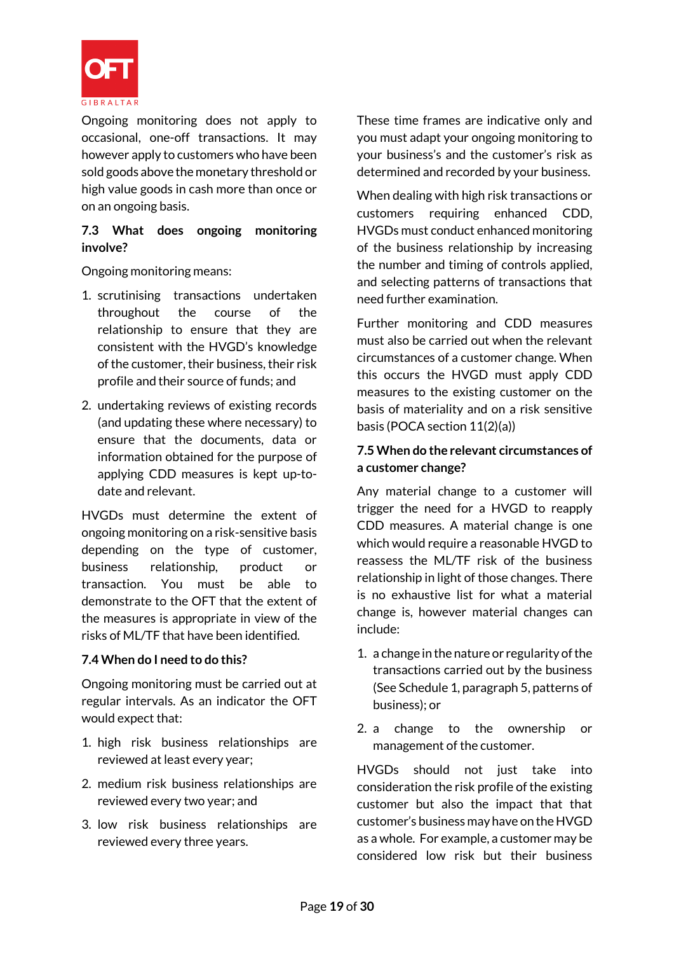

Ongoing monitoring does not apply to occasional, one-off transactions. It may however apply to customers who have been sold goods above the monetary threshold or high value goods in cash more than once or on an ongoing basis.

# **7.3 What does ongoing monitoring involve?**

Ongoing monitoring means:

- 1. scrutinising transactions undertaken throughout the course of the relationship to ensure that they are consistent with the HVGD's knowledge of the customer, their business, their risk profile and their source of funds; and
- 2. undertaking reviews of existing records (and updating these where necessary) to ensure that the documents, data or information obtained for the purpose of applying CDD measures is kept up-todate and relevant.

HVGDs must determine the extent of ongoing monitoring on a risk-sensitive basis depending on the type of customer, business relationship, product or transaction. You must be able to demonstrate to the OFT that the extent of the measures is appropriate in view of the risks of ML/TF that have been identified.

# **7.4 When do I need to do this?**

Ongoing monitoring must be carried out at regular intervals. As an indicator the OFT would expect that:

- 1. high risk business relationships are reviewed at least every year;
- 2. medium risk business relationships are reviewed every two year; and
- 3. low risk business relationships are reviewed every three years.

These time frames are indicative only and you must adapt your ongoing monitoring to your business's and the customer's risk as determined and recorded by your business.

When dealing with high risk transactions or customers requiring enhanced CDD, HVGDs must conduct enhanced monitoring of the business relationship by increasing the number and timing of controls applied, and selecting patterns of transactions that need further examination.

Further monitoring and CDD measures must also be carried out when the relevant circumstances of a customer change. When this occurs the HVGD must apply CDD measures to the existing customer on the basis of materiality and on a risk sensitive basis (POCA section 11(2)(a))

# **7.5 When do the relevant circumstances of a customer change?**

Any material change to a customer will trigger the need for a HVGD to reapply CDD measures. A material change is one which would require a reasonable HVGD to reassess the ML/TF risk of the business relationship in light of those changes. There is no exhaustive list for what a material change is, however material changes can include:

- 1. a change in the nature or regularity of the transactions carried out by the business (See Schedule 1, paragraph 5, patterns of business); or
- 2. a change to the ownership or management of the customer.

HVGDs should not just take into consideration the risk profile of the existing customer but also the impact that that customer's business may have on the HVGD as a whole. For example, a customer may be considered low risk but their business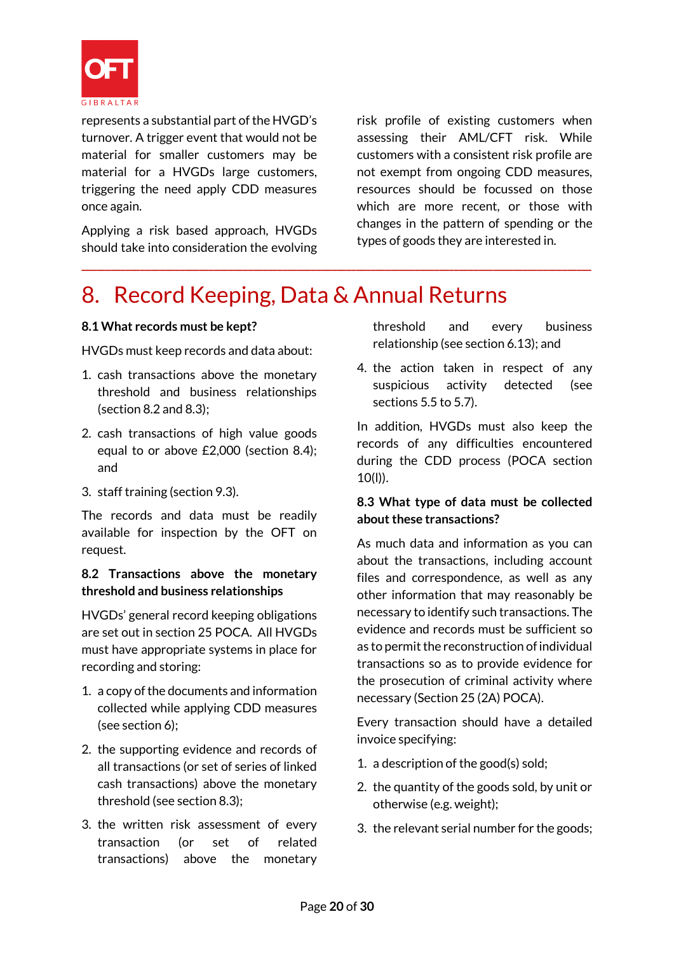

represents a substantial part of the HVGD's turnover. A trigger event that would not be material for smaller customers may be material for a HVGDs large customers, triggering the need apply CDD measures once again.

Applying a risk based approach, HVGDs should take into consideration the evolving risk profile of existing customers when assessing their AML/CFT risk. While customers with a consistent risk profile are not exempt from ongoing CDD measures, resources should be focussed on those which are more recent, or those with changes in the pattern of spending or the types of goods they are interested in.

# 8. Record Keeping, Data & Annual Returns

**\_\_\_\_\_\_\_\_\_\_\_\_\_\_\_\_\_\_\_\_\_\_\_\_\_\_\_\_\_\_\_\_\_\_\_\_\_\_\_\_\_\_\_\_\_\_\_\_\_\_\_\_\_\_\_\_\_\_\_\_\_\_\_\_\_\_\_\_\_\_\_\_\_\_\_\_\_\_\_\_\_\_\_\_\_\_\_\_\_\_\_\_\_\_\_\_\_\_\_\_\_\_\_\_**

# **8.1 What records must be kept?**

HVGDs must keep records and data about:

- 1. cash transactions above the monetary threshold and business relationships (section 8.2 and 8.3);
- 2. cash transactions of high value goods equal to or above £2,000 (section 8.4); and
- 3. staff training (section 9.3).

The records and data must be readily available for inspection by the OFT on request.

# **8.2 Transactions above the monetary threshold and business relationships**

HVGDs' general record keeping obligations are set out in section 25 POCA. All HVGDs must have appropriate systems in place for recording and storing:

- 1. a copy of the documents and information collected while applying CDD measures (see section 6);
- 2. the supporting evidence and records of all transactions (or set of series of linked cash transactions) above the monetary threshold (see section 8.3);
- 3. the written risk assessment of every transaction (or set of related transactions) above the monetary

threshold and every business relationship (see section 6.13); and

4. the action taken in respect of any suspicious activity detected (see sections 5.5 to 5.7).

In addition, HVGDs must also keep the records of any difficulties encountered during the CDD process (POCA section 10(l)).

# **8.3 What type of data must be collected about these transactions?**

As much data and information as you can about the transactions, including account files and correspondence, as well as any other information that may reasonably be necessary to identify such transactions. The evidence and records must be sufficient so as to permit the reconstruction of individual transactions so as to provide evidence for the prosecution of criminal activity where necessary (Section 25 (2A) POCA).

Every transaction should have a detailed invoice specifying:

- 1. a description of the good(s) sold;
- 2. the quantity of the goods sold, by unit or otherwise (e.g. weight);
- 3. the relevant serial number for the goods;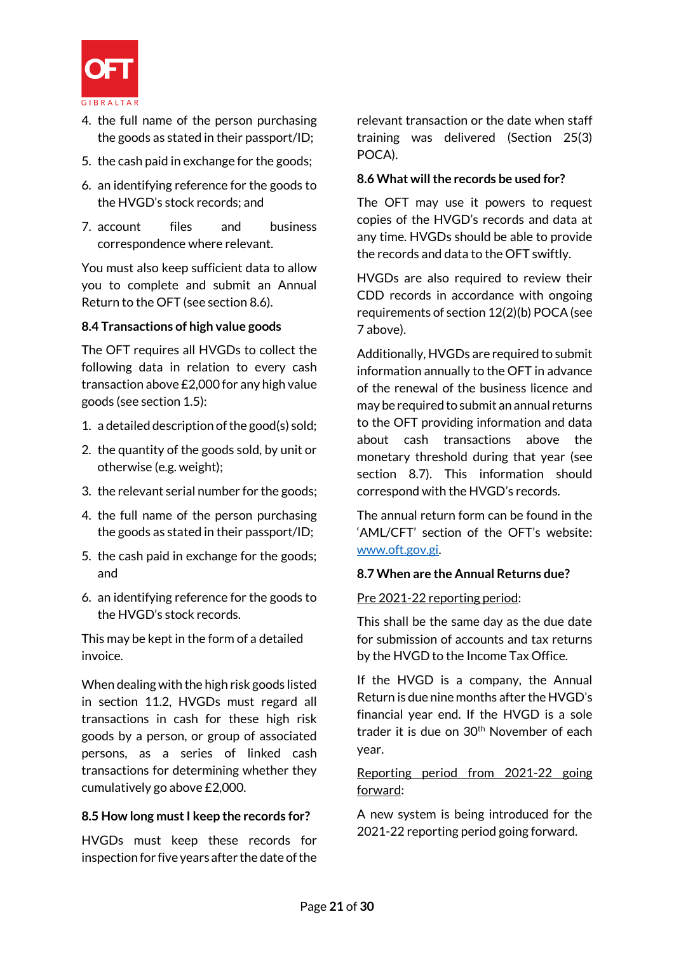

- 4. the full name of the person purchasing the goods as stated in their passport/ID;
- 5. the cash paid in exchange for the goods;
- 6. an identifying reference for the goods to the HVGD's stock records; and
- 7. account files and business correspondence where relevant.

You must also keep sufficient data to allow you to complete and submit an Annual Return to the OFT (see section 8.6).

# **8.4 Transactions of high value goods**

The OFT requires all HVGDs to collect the following data in relation to every cash transaction above £2,000 for any high value goods (see section 1.5):

- 1. a detailed description of the good(s) sold;
- 2. the quantity of the goods sold, by unit or otherwise (e.g. weight);
- 3. the relevant serial number for the goods;
- 4. the full name of the person purchasing the goods as stated in their passport/ID;
- 5. the cash paid in exchange for the goods; and
- 6. an identifying reference for the goods to the HVGD's stock records.

This may be kept in the form of a detailed invoice.

When dealing with the high risk goods listed in section 11.2, HVGDs must regard all transactions in cash for these high risk goods by a person, or group of associated persons, as a series of linked cash transactions for determining whether they cumulatively go above £2,000.

# **8.5 How long must I keep the records for?**

HVGDs must keep these records for inspection for five years after the date of the relevant transaction or the date when staff training was delivered (Section 25(3) POCA).

# **8.6 What will the records be used for?**

The OFT may use it powers to request copies of the HVGD's records and data at any time. HVGDs should be able to provide the records and data to the OFT swiftly.

HVGDs are also required to review their CDD records in accordance with ongoing requirements of section 12(2)(b) POCA (see 7 above).

Additionally, HVGDs are required to submit information annually to the OFT in advance of the renewal of the business licence and may be required to submit an annual returns to the OFT providing information and data about cash transactions above the monetary threshold during that year (see section 8.7). This information should correspond with the HVGD's records.

The annual return form can be found in the 'AML/CFT' section of the OFT's website: [www.oft.gov.gi.](http://www.oft.gov.gi/)

# **8.7 When are the Annual Returns due?**

# Pre 2021-22 reporting period:

This shall be the same day as the due date for submission of accounts and tax returns by the HVGD to the Income Tax Office.

If the HVGD is a company, the Annual Return is due nine months after the HVGD's financial year end. If the HVGD is a sole trader it is due on  $30<sup>th</sup>$  November of each year.

# Reporting period from 2021-22 going forward:

A new system is being introduced for the 2021-22 reporting period going forward.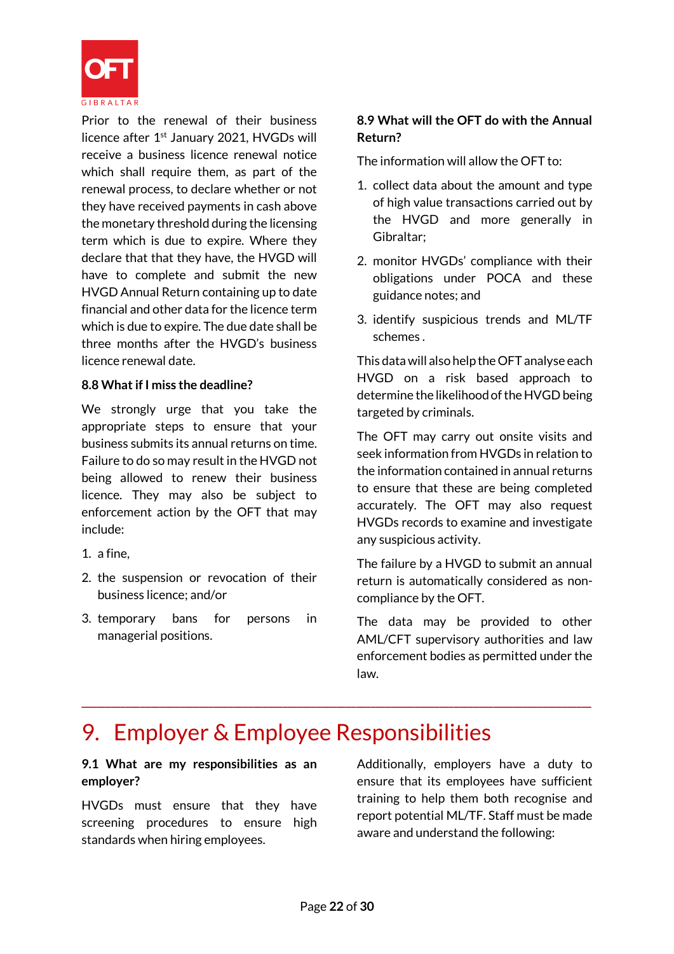

Prior to the renewal of their business licence after 1<sup>st</sup> January 2021, HVGDs will receive a business licence renewal notice which shall require them, as part of the renewal process, to declare whether or not they have received payments in cash above the monetary threshold during the licensing term which is due to expire. Where they declare that that they have, the HVGD will have to complete and submit the new HVGD Annual Return containing up to date financial and other data for the licence term which is due to expire. The due date shall be three months after the HVGD's business licence renewal date.

# **8.8 What if I miss the deadline?**

We strongly urge that you take the appropriate steps to ensure that your business submits its annual returns on time. Failure to do so may result in the HVGD not being allowed to renew their business licence. They may also be subject to enforcement action by the OFT that may include:

- 1. a fine,
- 2. the suspension or revocation of their business licence; and/or
- 3. temporary bans for persons in managerial positions.

# **8.9 What will the OFT do with the Annual Return?**

The information will allow the OFT to:

- 1. collect data about the amount and type of high value transactions carried out by the HVGD and more generally in Gibraltar;
- 2. monitor HVGDs' compliance with their obligations under POCA and these guidance notes; and
- 3. identify suspicious trends and ML/TF schemes .

This data will also help the OFT analyse each HVGD on a risk based approach to determine the likelihood of the HVGD being targeted by criminals.

The OFT may carry out onsite visits and seek information from HVGDs in relation to the information contained in annual returns to ensure that these are being completed accurately. The OFT may also request HVGDs records to examine and investigate any suspicious activity.

The failure by a HVGD to submit an annual return is automatically considered as noncompliance by the OFT.

The data may be provided to other AML/CFT supervisory authorities and law enforcement bodies as permitted under the law.

# 9. Employer & Employee Responsibilities

# **9.1 What are my responsibilities as an employer?**

HVGDs must ensure that they have screening procedures to ensure high standards when hiring employees.

Additionally, employers have a duty to ensure that its employees have sufficient training to help them both recognise and report potential ML/TF. Staff must be made aware and understand the following: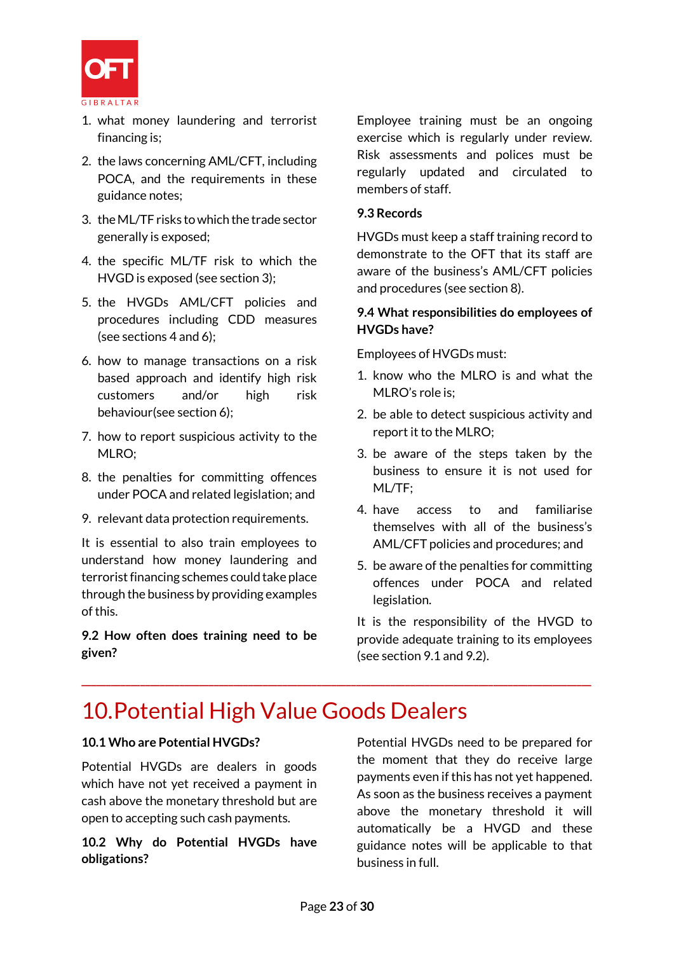

- 1. what money laundering and terrorist financing is;
- 2. the laws concerning AML/CFT, including POCA, and the requirements in these guidance notes;
- 3. the ML/TF risks to which the trade sector generally is exposed;
- 4. the specific ML/TF risk to which the HVGD is exposed (see section 3);
- 5. the HVGDs AML/CFT policies and procedures including CDD measures (see sections 4 and 6);
- 6. how to manage transactions on a risk based approach and identify high risk customers and/or high risk behaviour(see section 6);
- 7. how to report suspicious activity to the MLRO;
- 8. the penalties for committing offences under POCA and related legislation; and
- 9. relevant data protection requirements.

It is essential to also train employees to understand how money laundering and terrorist financing schemes could take place through the business by providing examples of this.

**9.2 How often does training need to be given?**

Employee training must be an ongoing exercise which is regularly under review. Risk assessments and polices must be regularly updated and circulated to members of staff.

#### **9.3 Records**

HVGDs must keep a staff training record to demonstrate to the OFT that its staff are aware of the business's AML/CFT policies and procedures (see section 8).

# **9.4 What responsibilities do employees of HVGDs have?**

Employees of HVGDs must:

- 1. know who the MLRO is and what the MLRO's role is;
- 2. be able to detect suspicious activity and report it to the MLRO;
- 3. be aware of the steps taken by the business to ensure it is not used for ML/TF;
- 4. have access to and familiarise themselves with all of the business's AML/CFT policies and procedures; and
- 5. be aware of the penalties for committing offences under POCA and related legislation.

It is the responsibility of the HVGD to provide adequate training to its employees (see section 9.1 and 9.2).

# 10.Potential High Value Goods Dealers

# **10.1 Who are Potential HVGDs?**

Potential HVGDs are dealers in goods which have not yet received a payment in cash above the monetary threshold but are open to accepting such cash payments.

# **10.2 Why do Potential HVGDs have obligations?**

Potential HVGDs need to be prepared for the moment that they do receive large payments even if this has not yet happened. As soon as the business receives a payment above the monetary threshold it will automatically be a HVGD and these guidance notes will be applicable to that business in full.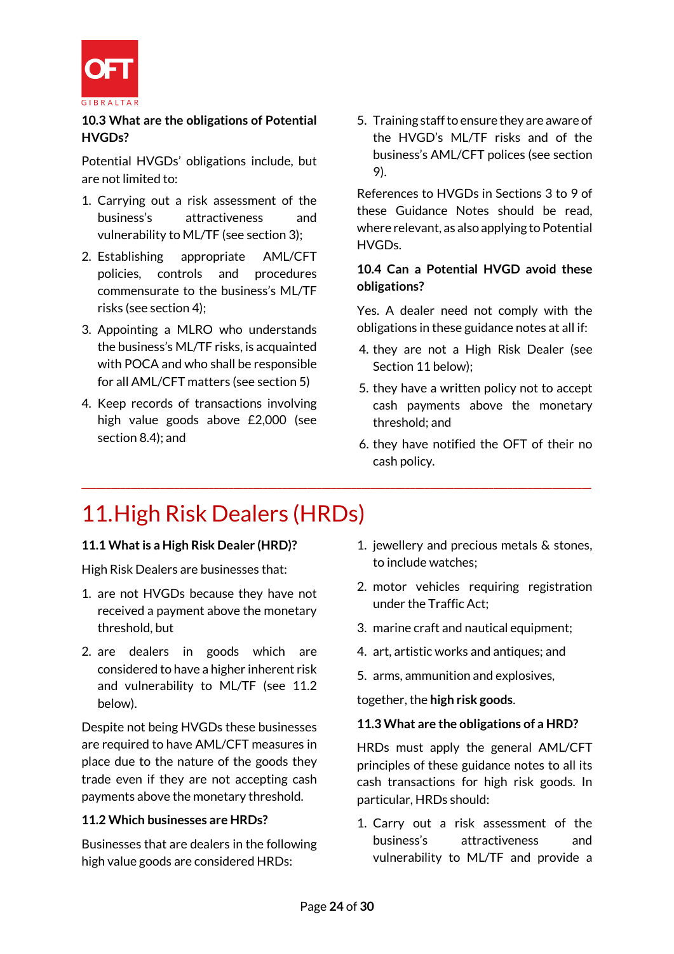

**10.3 What are the obligations of Potential HVGDs?**

Potential HVGDs' obligations include, but are not limited to:

- 1. Carrying out a risk assessment of the business's attractiveness and vulnerability to ML/TF (see section 3);
- 2. Establishing appropriate AML/CFT policies, controls and procedures commensurate to the business's ML/TF risks (see section 4);
- 3. Appointing a MLRO who understands the business's ML/TF risks, is acquainted with POCA and who shall be responsible for all AML/CFT matters (see section 5)
- 4. Keep records of transactions involving high value goods above £2,000 (see section 8.4); and

5. Training staff to ensure they are aware of the HVGD's ML/TF risks and of the business's AML/CFT polices (see section 9).

References to HVGDs in Sections 3 to 9 of these Guidance Notes should be read, where relevant, as also applying to Potential HVGDs.

# **10.4 Can a Potential HVGD avoid these obligations?**

Yes. A dealer need not comply with the obligations in these guidance notes at all if:

- 4. they are not a High Risk Dealer (see Section 11 below);
- 5. they have a written policy not to accept cash payments above the monetary threshold; and
- 6. they have notified the OFT of their no cash policy.

# 11.High Risk Dealers (HRDs)

# **11.1 What is a High Risk Dealer (HRD)?**

High Risk Dealers are businesses that:

- 1. are not HVGDs because they have not received a payment above the monetary threshold, but
- 2. are dealers in goods which are considered to have a higher inherent risk and vulnerability to ML/TF (see 11.2 below).

Despite not being HVGDs these businesses are required to have AML/CFT measures in place due to the nature of the goods they trade even if they are not accepting cash payments above the monetary threshold.

# **11.2 Which businesses are HRDs?**

Businesses that are dealers in the following high value goods are considered HRDs:

- 1. jewellery and precious metals & stones, to include watches;
- 2. motor vehicles requiring registration under the Traffic Act;
- 3. marine craft and nautical equipment:
- 4. art, artistic works and antiques; and
- 5. arms, ammunition and explosives,

together, the **high risk goods**.

# **11.3 What are the obligations of a HRD?**

HRDs must apply the general AML/CFT principles of these guidance notes to all its cash transactions for high risk goods. In particular, HRDs should:

1. Carry out a risk assessment of the business's attractiveness and vulnerability to ML/TF and provide a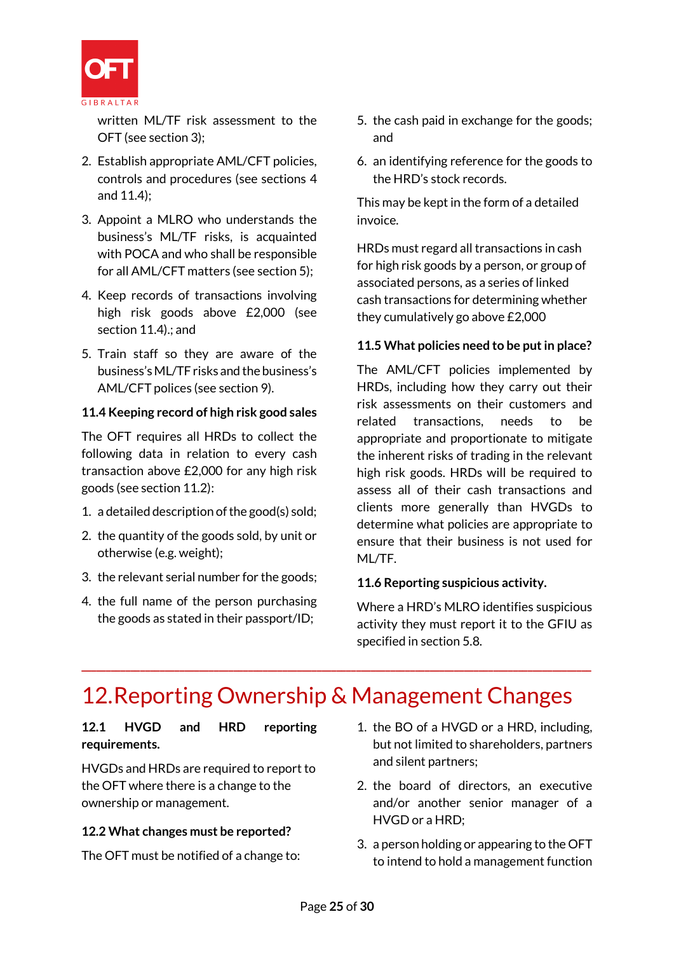

written ML/TF risk assessment to the OFT (see section 3);

- 2. Establish appropriate AML/CFT policies, controls and procedures (see sections 4 and 11.4);
- 3. Appoint a MLRO who understands the business's ML/TF risks, is acquainted with POCA and who shall be responsible for all AML/CFT matters (see section 5);
- 4. Keep records of transactions involving high risk goods above £2,000 (see section 11.4).; and
- 5. Train staff so they are aware of the business's ML/TF risks and the business's AML/CFT polices (see section 9).

# **11.4 Keeping record of high risk good sales**

The OFT requires all HRDs to collect the following data in relation to every cash transaction above £2,000 for any high risk goods (see section 11.2):

- 1. a detailed description of the good(s) sold;
- 2. the quantity of the goods sold, by unit or otherwise (e.g. weight);
- 3. the relevant serial number for the goods;
- 4. the full name of the person purchasing the goods as stated in their passport/ID;
- 5. the cash paid in exchange for the goods; and
- 6. an identifying reference for the goods to the HRD's stock records.

This may be kept in the form of a detailed invoice.

HRDs must regard all transactions in cash for high risk goods by a person, or group of associated persons, as a series of linked cash transactions for determining whether they cumulatively go above £2,000

# **11.5 What policies need to be put in place?**

The AML/CFT policies implemented by HRDs, including how they carry out their risk assessments on their customers and related transactions, needs to be appropriate and proportionate to mitigate the inherent risks of trading in the relevant high risk goods. HRDs will be required to assess all of their cash transactions and clients more generally than HVGDs to determine what policies are appropriate to ensure that their business is not used for ML/TF.

# **11.6 Reporting suspicious activity.**

Where a HRD's MLRO identifies suspicious activity they must report it to the GFIU as specified in section 5.8.

# 12.Reporting Ownership & Management Changes

**\_\_\_\_\_\_\_\_\_\_\_\_\_\_\_\_\_\_\_\_\_\_\_\_\_\_\_\_\_\_\_\_\_\_\_\_\_\_\_\_\_\_\_\_\_\_\_\_\_\_\_\_\_\_\_\_\_\_\_\_\_\_\_\_\_\_\_\_\_\_\_\_\_\_\_\_\_\_\_\_\_\_\_\_\_\_\_\_\_\_\_\_\_\_\_\_\_\_\_\_\_\_\_\_**

# **12.1 HVGD and HRD reporting requirements.**

HVGDs and HRDs are required to report to the OFT where there is a change to the ownership or management.

# **12.2 What changes must be reported?**

The OFT must be notified of a change to:

- 1. the BO of a HVGD or a HRD, including, but not limited to shareholders, partners and silent partners;
- 2. the board of directors, an executive and/or another senior manager of a HVGD or a HRD;
- 3. a person holding or appearing to the OFT to intend to hold a management function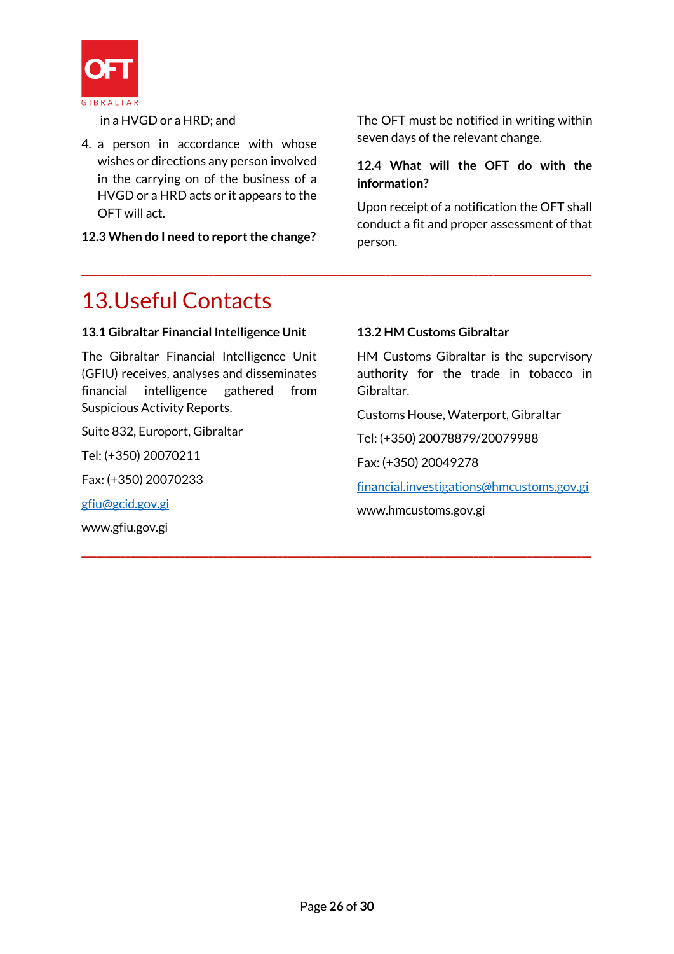

in a HVGD or a HRD; and

4. a person in accordance with whose wishes or directions any person involved in the carrying on of the business of a HVGD or a HRD acts or it appears to the OFT will act.

**12.3 When do I need to report the change?**

The OFT must be notified in writing within seven days of the relevant change.

# **12.4 What will the OFT do with the information?**

Upon receipt of a notification the OFT shall conduct a fit and proper assessment of that person.

# 13.Useful Contacts

# **13.1 Gibraltar Financial Intelligence Unit**

The Gibraltar Financial Intelligence Unit (GFIU) receives, analyses and disseminates financial intelligence gathered from Suspicious Activity Reports.

Suite 832, Europort, Gibraltar

Tel: (+350) 20070211

Fax: (+350) 20070233

[gfiu@gcid.gov.gi](mailto:gfiu@gcid.gov.gi)

www.gfiu.gov.gi

# **13.2 HM Customs Gibraltar**

**\_\_\_\_\_\_\_\_\_\_\_\_\_\_\_\_\_\_\_\_\_\_\_\_\_\_\_\_\_\_\_\_\_\_\_\_\_\_\_\_\_\_\_\_\_\_\_\_\_\_\_\_\_\_\_\_\_\_\_\_\_\_\_\_\_\_\_\_\_\_\_\_\_\_\_\_\_\_\_\_\_\_\_\_\_\_\_\_\_\_\_\_\_\_\_\_\_\_\_\_\_\_\_\_**

**\_\_\_\_\_\_\_\_\_\_\_\_\_\_\_\_\_\_\_\_\_\_\_\_\_\_\_\_\_\_\_\_\_\_\_\_\_\_\_\_\_\_\_\_\_\_\_\_\_\_\_\_\_\_\_\_\_\_\_\_\_\_\_\_\_\_\_\_\_\_\_\_\_\_\_\_\_\_\_\_\_\_\_\_\_\_\_\_\_\_\_\_\_\_\_\_\_\_\_\_\_\_\_\_**

HM Customs Gibraltar is the supervisory authority for the trade in tobacco in Gibraltar.

Customs House, Waterport, Gibraltar

Tel: (+350) 20078879/20079988

Fax: (+350) 20049278

[financial.investigations@hmcustoms.gov.gi](mailto:financial.investigations@hmcustoms.gov.gi)

www.hmcustoms.gov.gi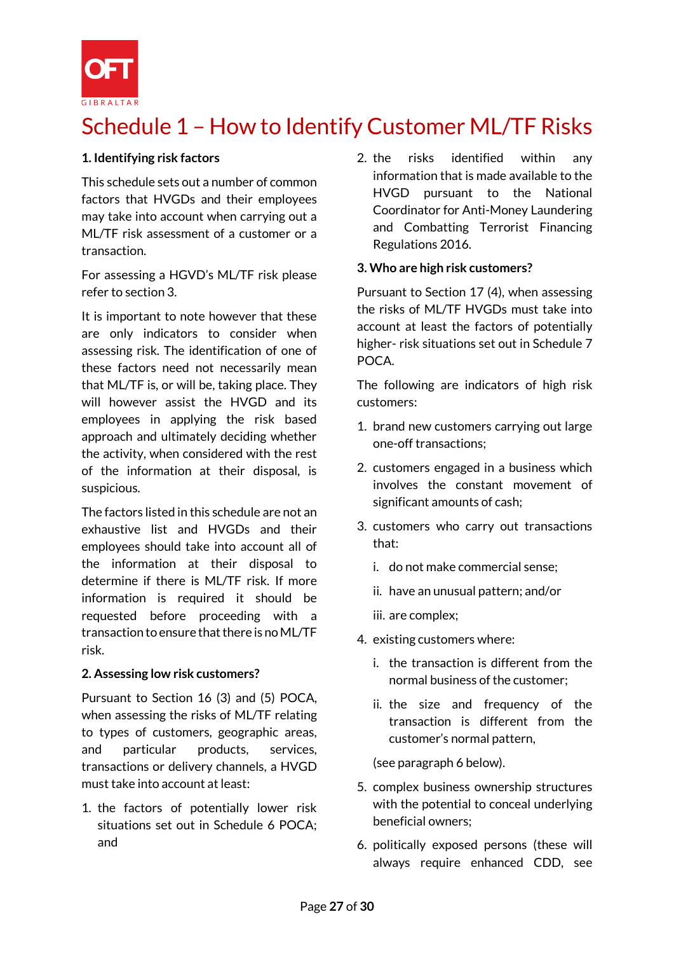

# Schedule 1 – How to Identify Customer ML/TF Risks

# **1. Identifying risk factors**

This schedule sets out a number of common factors that HVGDs and their employees may take into account when carrying out a ML/TF risk assessment of a customer or a transaction.

For assessing a HGVD's ML/TF risk please refer to section 3.

It is important to note however that these are only indicators to consider when assessing risk. The identification of one of these factors need not necessarily mean that ML/TF is, or will be, taking place. They will however assist the HVGD and its employees in applying the risk based approach and ultimately deciding whether the activity, when considered with the rest of the information at their disposal, is suspicious.

The factors listed in this schedule are not an exhaustive list and HVGDs and their employees should take into account all of the information at their disposal to determine if there is ML/TF risk. If more information is required it should be requested before proceeding with a transaction to ensure that there is no ML/TF risk.

# **2. Assessing low risk customers?**

Pursuant to Section 16 (3) and (5) POCA, when assessing the risks of ML/TF relating to types of customers, geographic areas, and particular products, services, transactions or delivery channels, a HVGD must take into account at least:

1. the factors of potentially lower risk situations set out in Schedule 6 POCA; and

2. the risks identified within any information that is made available to the HVGD pursuant to the National Coordinator for Anti-Money Laundering and Combatting Terrorist Financing Regulations 2016.

#### **3. Who are high risk customers?**

Pursuant to Section 17 (4), when assessing the risks of ML/TF HVGDs must take into account at least the factors of potentially higher- risk situations set out in Schedule 7 POCA.

The following are indicators of high risk customers:

- 1. brand new customers carrying out large one-off transactions;
- 2. customers engaged in a business which involves the constant movement of significant amounts of cash;
- 3. customers who carry out transactions that:
	- i. do not make commercial sense;
	- ii. have an unusual pattern; and/or
	- iii. are complex;
- 4. existing customers where:
	- i. the transaction is different from the normal business of the customer;
	- ii. the size and frequency of the transaction is different from the customer's normal pattern,

(see paragraph 6 below).

- 5. complex business ownership structures with the potential to conceal underlying beneficial owners;
- 6. politically exposed persons (these will always require enhanced CDD, see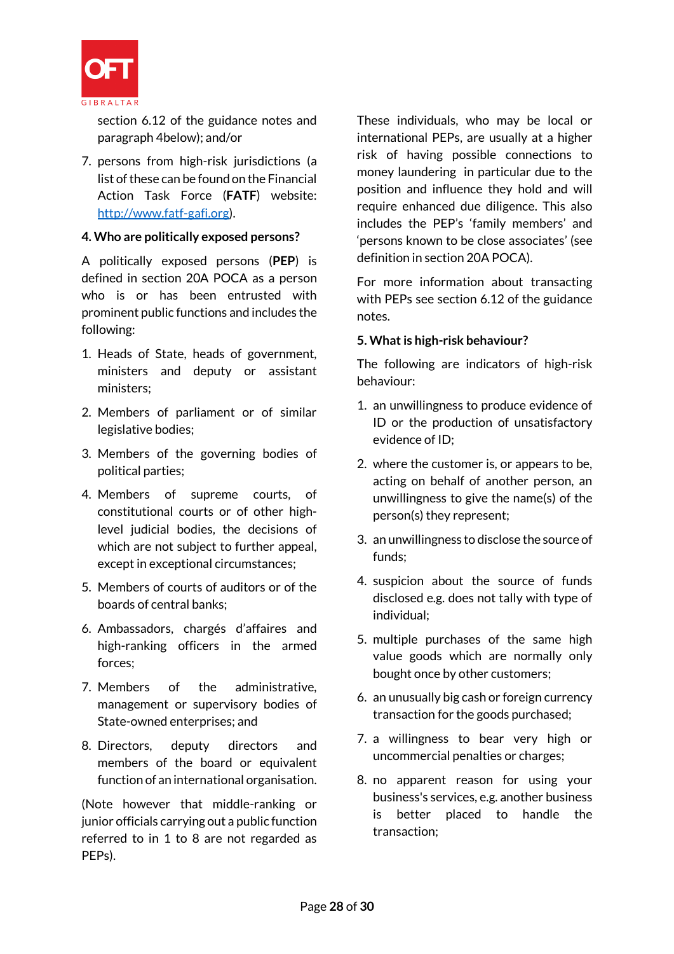

section 6.12 of the guidance notes and paragraph 4below); and/or

7. persons from high-risk jurisdictions (a list of these can be found on the Financial Action Task Force (**FATF**) website: [http://www.fatf-gafi.org\)](http://www.fatf-gafi.org/).

# **4. Who are politically exposed persons?**

A politically exposed persons (**PEP**) is defined in section 20A POCA as a person who is or has been entrusted with prominent public functions and includes the following:

- 1. Heads of State, heads of government, ministers and deputy or assistant ministers;
- 2. Members of parliament or of similar legislative bodies;
- 3. Members of the governing bodies of political parties;
- 4. Members of supreme courts, of constitutional courts or of other highlevel judicial bodies, the decisions of which are not subject to further appeal, except in exceptional circumstances;
- 5. Members of courts of auditors or of the boards of central banks;
- 6. Ambassadors, chargés d'affaires and high-ranking officers in the armed forces;
- 7. Members of the administrative, management or supervisory bodies of State-owned enterprises; and
- 8. Directors, deputy directors and members of the board or equivalent function of an international organisation.

(Note however that middle-ranking or junior officials carrying out a public function referred to in 1 to 8 are not regarded as PEPs).

These individuals, who may be local or international PEPs, are usually at a higher risk of having possible connections to money laundering in particular due to the position and influence they hold and will require enhanced due diligence. This also includes the PEP's 'family members' and 'persons known to be close associates' (see definition in section 20A POCA).

For more information about transacting with PEPs see section 6.12 of the guidance notes.

#### **5. What is high-risk behaviour?**

The following are indicators of high-risk behaviour:

- 1. an unwillingness to produce evidence of ID or the production of unsatisfactory evidence of ID;
- 2. where the customer is, or appears to be, acting on behalf of another person, an unwillingness to give the name(s) of the person(s) they represent;
- 3. an unwillingness to disclose the source of funds;
- 4. suspicion about the source of funds disclosed e.g. does not tally with type of individual;
- 5. multiple purchases of the same high value goods which are normally only bought once by other customers;
- 6. an unusually big cash or foreign currency transaction for the goods purchased;
- 7. a willingness to bear very high or uncommercial penalties or charges;
- 8. no apparent reason for using your business's services, e.g. another business is better placed to handle the transaction;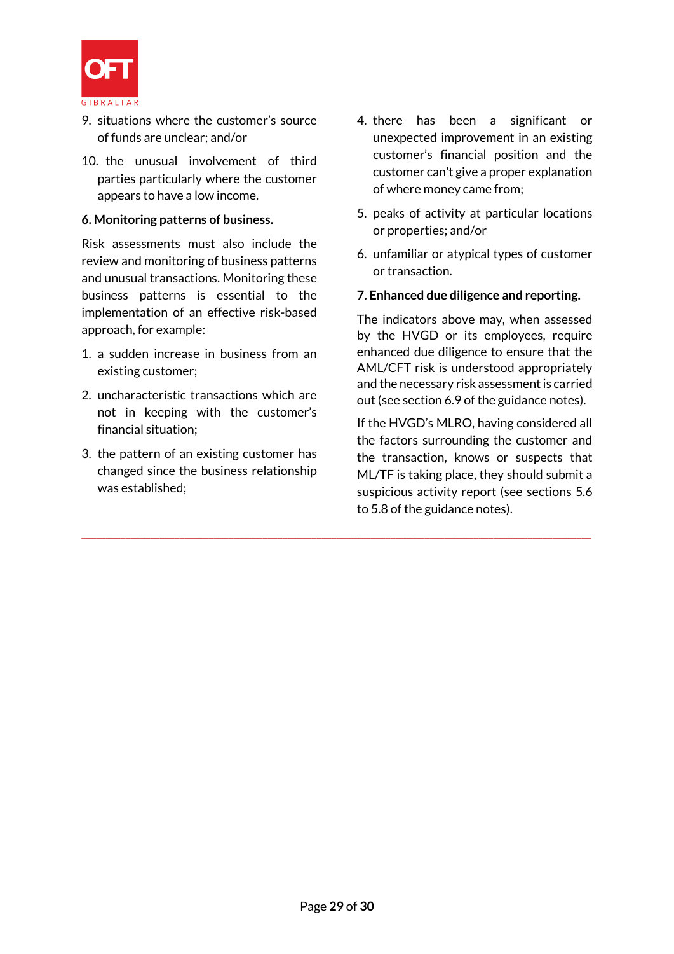

- 9. situations where the customer's source of funds are unclear; and/or
- 10. the unusual involvement of third parties particularly where the customer appears to have a low income.

#### **6. Monitoring patterns of business.**

Risk assessments must also include the review and monitoring of business patterns and unusual transactions. Monitoring these business patterns is essential to the implementation of an effective risk-based approach, for example:

- 1. a sudden increase in business from an existing customer;
- 2. uncharacteristic transactions which are not in keeping with the customer's financial situation;
- 3. the pattern of an existing customer has changed since the business relationship was established;
- 4. there has been a significant or unexpected improvement in an existing customer's financial position and the customer can't give a proper explanation of where money came from;
- 5. peaks of activity at particular locations or properties; and/or
- 6. unfamiliar or atypical types of customer or transaction.

#### **7. Enhanced due diligence and reporting.**

The indicators above may, when assessed by the HVGD or its employees, require enhanced due diligence to ensure that the AML/CFT risk is understood appropriately and the necessary risk assessment is carried out (see section 6.9 of the guidance notes).

If the HVGD's MLRO, having considered all the factors surrounding the customer and the transaction, knows or suspects that ML/TF is taking place, they should submit a suspicious activity report (see sections 5.6 to 5.8 of the guidance notes).